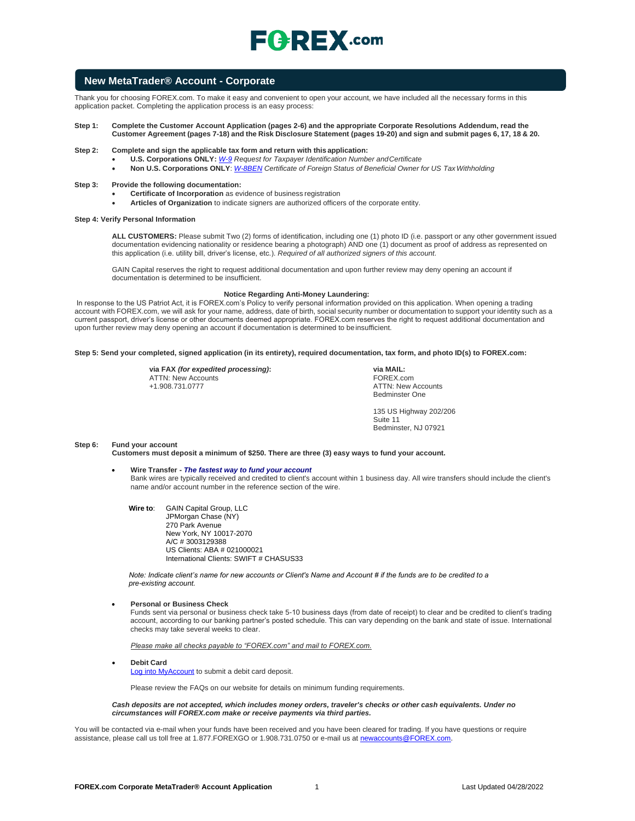## **New MetaTrader® Account - Corporate**

Thank you for choosing FOREX.com. To make it easy and convenient to open your account, we have included all the necessary forms in this application packet. Completing the application process is an easy process:

#### **Step 1: Complete the Customer Account Application (pages 2-6) and the appropriate Corporate Resolutions Addendum, read the**  Customer Agreement (pages 7-18) and the Risk Disclosure Statement (pages 19-20) and sign and submit pages 6, 17, 18 & 20.

- **Step 2: Complete and sign the applicable tax form and return with this application:**
	- **U.S. Corporations ONLY:** *[W-9](https://www.irs.gov/pub/irs-pdf/fw9.pdf) Request for Taxpayer Identification Number andCertificate*
	- **Non U.S. Corporations ONLY**: *[W-8BEN](https://www.irs.gov/pub/irs-pdf/fw8ben.pdf) Certificate of Foreign Status of Beneficial Owner for US TaxWithholding*

#### **Step 3: Provide the following documentation:**

- **Certificate of Incorporation** as evidence of business registration
- **Articles of Organization** to indicate signers are authorized officers of the corporate entity.

#### **Step 4: Verify Personal Information**

**ALL CUSTOMERS:** Please submit Two (2) forms of identification, including one (1) photo ID (i.e. passport or any other government issued documentation evidencing nationality or residence bearing a photograph) AND one (1) document as proof of address as represented on this application (i.e. utility bill, driver's license, etc.). *Required of all authorized signers of this account.*

GAIN Capital reserves the right to request additional documentation and upon further review may deny opening an account if documentation is determined to be insufficient.

#### **Notice Regarding Anti-Money Laundering:**

In response to the US Patriot Act, it is FOREX.com's Policy to verify personal information provided on this application. When opening a trading account with FOREX.com, we will ask for your name, address, date of birth, social security number or documentation to support your identity such as a current passport, driver's license or other documents deemed appropriate. FOREX.com reserves the right to request additional documentation and upon further review may deny opening an account if documentation is determined to be insufficient.

#### **Step 5: Send your completed, signed application (in its entirety), required documentation, tax form, and photo ID(s) to FOREX.com:**

**via FAX** *(for expedited processing)***:** ATTN: New Accounts +1.908.731.0777

**via MAIL:** FOREX.com ATTN: New Accounts Bedminster One

135 US Highway 202/206 Suite 11 Bedminster, NJ 07921

#### **Step 6: Fund your account**

**Customers must deposit a minimum of \$250. There are three (3) easy ways to fund your account.**

#### • **Wire Transfer -** *The fastest way to fund your account*

Bank wires are typically received and credited to client's account within 1 business day. All wire transfers should include the client's name and/or account number in the reference section of the wire.

**Wire to**: GAIN Capital Group, LLC JPMorgan Chase (NY) 270 Park Avenue New York, NY 10017-2070 A/C # 3003129388 US Clients: ABA # 021000021 International Clients: SWIFT # CHASUS33

*Note: Indicate client's name for new accounts or Client's Name and Account # if the funds are to be credited to a pre-existing account.*

#### • **Personal or Business Check**

Funds sent via personal or business check take 5-10 business days (from date of receipt) to clear and be credited to client's trading account, according to our banking partner's posted schedule. This can vary depending on the bank and state of issue. International checks may take several weeks to clear.

*Please make all checks payable to "FOREX.com" and mail to FOREX.com.*

• **Debit Card**

[Log into MyAccount](http://www.forex.com/myaccount.html) to submit a debit card deposit.

Please review the FAQs on our website for details on minimum funding requirements.

*Cash deposits are not accepted, which includes money orders, traveler's checks or other cash equivalents. Under no circumstances will FOREX.com make or receive payments via third parties.*

You will be contacted via e-mail when your funds have been received and you have been cleared for trading. If you have questions or require assistance, please call us toll free at 1.877.FOREXGO or 1.908.731.0750 or e-mail us a[t newaccounts@FOREX.com.](mailto:newaccounts@forex.com)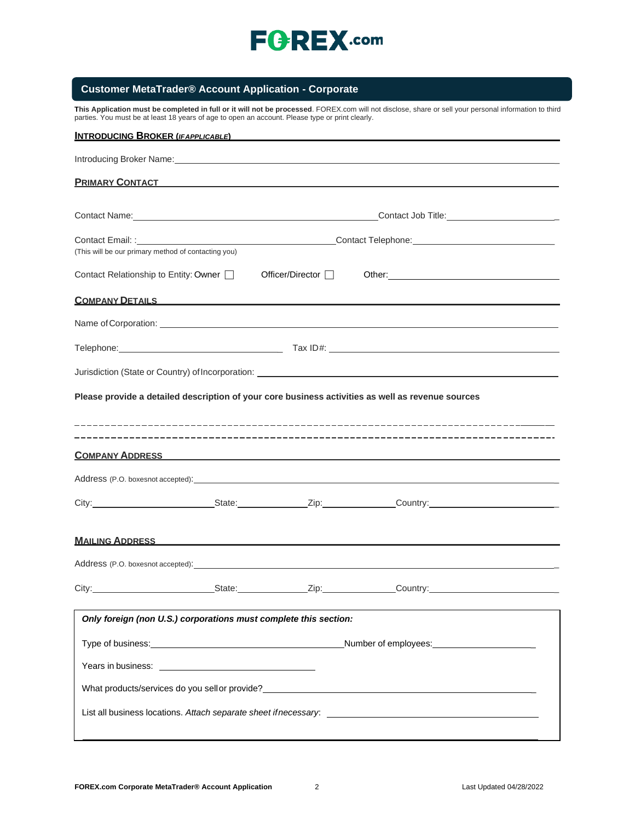

## **Customer MetaTrader® Account Application - Corporate**

**This Application must be completed in full or it will not be processed**. FOREX.com will not disclose, share or sell your personal information to third parties. You must be at least 18 years of age to open an account. Please type or print clearly.

| INTRODUCING BROKER (IFAPPLICABLE)                                                                                                                                                                                                    |                    |                                                                                                                                                                                                                                     |
|--------------------------------------------------------------------------------------------------------------------------------------------------------------------------------------------------------------------------------------|--------------------|-------------------------------------------------------------------------------------------------------------------------------------------------------------------------------------------------------------------------------------|
| Introducing Broker Name: Manual According to the Control of the Control of the Control of the Control of the Control of the Control of the Control of the Control of the Control of the Control of the Control of the Control        |                    |                                                                                                                                                                                                                                     |
| PRIMARY CONTACT <b>Example 2018</b>                                                                                                                                                                                                  |                    |                                                                                                                                                                                                                                     |
|                                                                                                                                                                                                                                      |                    |                                                                                                                                                                                                                                     |
| Contact Name: <u>contact Name</u>                                                                                                                                                                                                    |                    | Contact Job Title: _____________________________                                                                                                                                                                                    |
| (This will be our primary method of contacting you)                                                                                                                                                                                  |                    |                                                                                                                                                                                                                                     |
| Contact Relationship to Entity: Owner [                                                                                                                                                                                              | Officer/Director □ |                                                                                                                                                                                                                                     |
| <b>COMPANY DETAILS COMPANY DETAILS</b>                                                                                                                                                                                               |                    |                                                                                                                                                                                                                                     |
|                                                                                                                                                                                                                                      |                    |                                                                                                                                                                                                                                     |
|                                                                                                                                                                                                                                      |                    |                                                                                                                                                                                                                                     |
|                                                                                                                                                                                                                                      |                    |                                                                                                                                                                                                                                     |
| Please provide a detailed description of your core business activities as well as revenue sources                                                                                                                                    |                    |                                                                                                                                                                                                                                     |
|                                                                                                                                                                                                                                      |                    | COMPANY ADDRESS <b>COMPANY ADDRESS</b>                                                                                                                                                                                              |
|                                                                                                                                                                                                                                      |                    |                                                                                                                                                                                                                                     |
|                                                                                                                                                                                                                                      |                    | City: City: City: City: City: Current Country: Country: Country:                                                                                                                                                                    |
| <u>MAILING ADDRESS AND A CHARGE AND A CHARGE AND A CHARGE AND A CHARGE AND A CHARGE AND A CHARGE AND A CHARGE AND A CHARGE AND A CHARGE AND A CHARGE AND A CHARGE AND A CHARGE AND A CHARGE AND A CHARGE AND A CHARGE AND A CHAR</u> |                    |                                                                                                                                                                                                                                     |
|                                                                                                                                                                                                                                      |                    | Address (P.O. boxesnot accepted): <u>container and a series of the series</u> and a series of the series of the series of the series of the series of the series of the series of the series of the series of the series of the ser |
|                                                                                                                                                                                                                                      |                    | City: State: State: Zip: Country: Country:                                                                                                                                                                                          |
| Only foreign (non U.S.) corporations must complete this section:                                                                                                                                                                     |                    |                                                                                                                                                                                                                                     |
|                                                                                                                                                                                                                                      |                    | Number of employees:<br>Number of employees:                                                                                                                                                                                        |
|                                                                                                                                                                                                                                      |                    |                                                                                                                                                                                                                                     |
| What products/services do you sell or provide?<br>Microsoft Allen Andrew Microsoft Allen Allen Allen Allen Allen Allen Allen Allen Allen Allen Allen Allen All                                                                       |                    |                                                                                                                                                                                                                                     |
|                                                                                                                                                                                                                                      |                    | List all business locations. Attach separate sheet if necessary: ___________________________________                                                                                                                                |
|                                                                                                                                                                                                                                      |                    |                                                                                                                                                                                                                                     |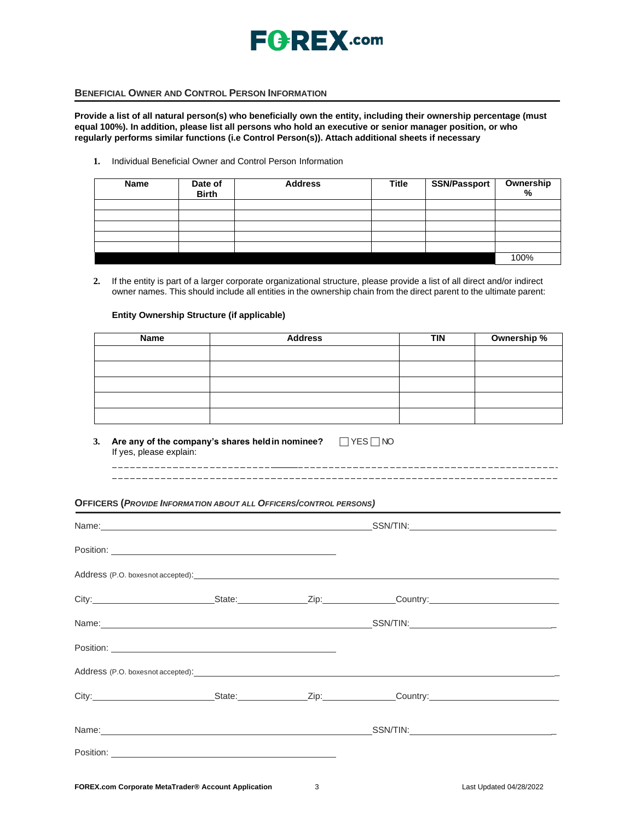

## **BENEFICIAL OWNER AND CONTROL PERSON INFORMATION**

**Provide a list of all natural person(s) who beneficially own the entity, including their ownership percentage (must equal 100%). In addition, please list all persons who hold an executive or senior manager position, or who regularly performs similar functions (i.e Control Person(s)). Attach additional sheets if necessary**

**1.** Individual Beneficial Owner and Control Person Information

| <b>Name</b> | Date of<br><b>Birth</b> | <b>Address</b> | <b>Title</b> | <b>SSN/Passport</b> | Ownership<br>% |
|-------------|-------------------------|----------------|--------------|---------------------|----------------|
|             |                         |                |              |                     |                |
|             |                         |                |              |                     |                |
|             |                         |                |              |                     |                |
|             |                         |                |              |                     |                |
|             |                         |                |              |                     |                |
|             |                         |                |              |                     | 100%           |

**2.** If the entity is part of a larger corporate organizational structure, please provide a list of all direct and/or indirect owner names. This should include all entities in the ownership chain from the direct parent to the ultimate parent:

### **Entity Ownership Structure (if applicable)**

| Name | <b>Address</b> | <b>TIN</b> | Ownership % |
|------|----------------|------------|-------------|
|      |                |            |             |
|      |                |            |             |
|      |                |            |             |
|      |                |            |             |
|      |                |            |             |

**3.** Are any of the company's shares held in nominee?  $\Box$  YES  $\Box$  NO If yes, please explain: \_\_\_\_\_\_\_\_\_\_\_\_\_\_\_\_

#### **OFFICERS (***PROVIDE INFORMATION ABOUT ALL OFFICERS/CONTROL PERSONS)*

| Position: Position: Position: Position: Position: Position: Position: Position: Position: Position: Position: Position: Position: Position: Position: Position: Position: Position: Position: Position: Position: Position: Po |  |                                                |
|--------------------------------------------------------------------------------------------------------------------------------------------------------------------------------------------------------------------------------|--|------------------------------------------------|
| Address (P.O. boxesnot accepted): example and a series of the series of the series of the series of the series of the series of the series of the series of the series of the series of the series of the series of the series |  |                                                |
|                                                                                                                                                                                                                                |  |                                                |
|                                                                                                                                                                                                                                |  |                                                |
|                                                                                                                                                                                                                                |  |                                                |
| Address (P.O. boxesnot accepted): example and accepted and accepted of the set of the set of the set of the set of the set of the set of the set of the set of the set of the set of the set of the set of the set of the set  |  |                                                |
|                                                                                                                                                                                                                                |  | City: City: City: City: City: Current Country: |
|                                                                                                                                                                                                                                |  |                                                |
|                                                                                                                                                                                                                                |  |                                                |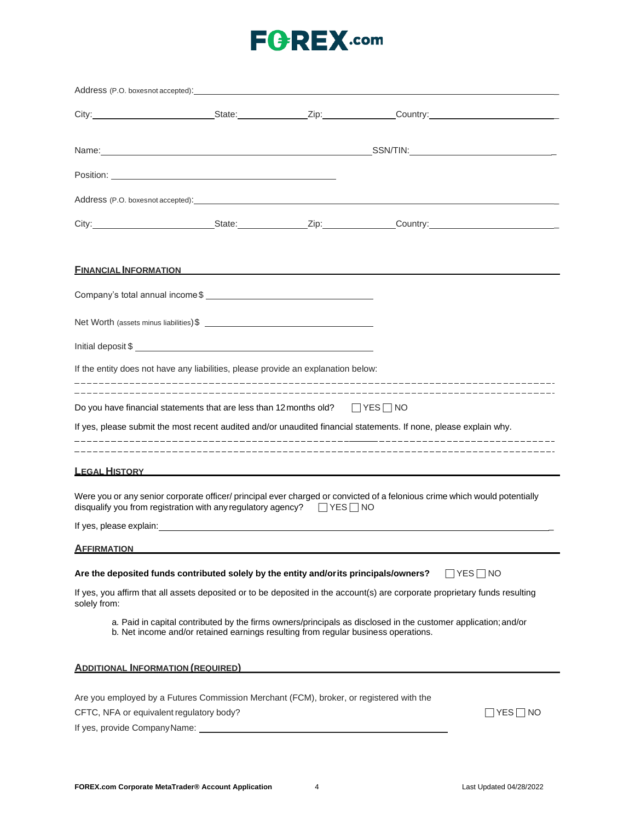# **FGREX.com**

|                                                                            | <b>FINANCIAL INFORMATION</b>                                                                                                                                                                                    |  |                      |
|----------------------------------------------------------------------------|-----------------------------------------------------------------------------------------------------------------------------------------------------------------------------------------------------------------|--|----------------------|
|                                                                            |                                                                                                                                                                                                                 |  |                      |
|                                                                            | Net Worth (assets minus liabilities) \$                                                                                                                                                                         |  |                      |
|                                                                            | Initial deposit \$                                                                                                                                                                                              |  |                      |
|                                                                            | If the entity does not have any liabilities, please provide an explanation below:                                                                                                                               |  |                      |
|                                                                            | Do you have financial statements that are less than 12 months old? $\Box$ YES $\Box$ NO<br>If yes, please submit the most recent audited and/or unaudited financial statements. If none, please explain why.    |  |                      |
|                                                                            | <b>LEGAL HISTORY CONTROL</b>                                                                                                                                                                                    |  |                      |
|                                                                            | Were you or any senior corporate officer/ principal ever charged or convicted of a felonious crime which would potentially<br>disqualify you from registration with any regulatory agency? $\Box$ YES $\Box$ NO |  |                      |
|                                                                            |                                                                                                                                                                                                                 |  |                      |
| <b>AFFIRMATION</b>                                                         |                                                                                                                                                                                                                 |  |                      |
|                                                                            | Are the deposited funds contributed solely by the entity and/or its principals/owners?                                                                                                                          |  | $\Box$ Yes $\Box$ No |
| solely from:                                                               | If yes, you affirm that all assets deposited or to be deposited in the account(s) are corporate proprietary funds resulting                                                                                     |  |                      |
|                                                                            | a. Paid in capital contributed by the firms owners/principals as disclosed in the customer application; and/or<br>b. Net income and/or retained earnings resulting from regular business operations.            |  |                      |
| <b>ADDITIONAL INFORMATION (REQUIRED)</b>                                   |                                                                                                                                                                                                                 |  |                      |
| CFTC, NFA or equivalent regulatory body?<br>If yes, provide CompanyName: _ | Are you employed by a Futures Commission Merchant (FCM), broker, or registered with the                                                                                                                         |  | YES   NO             |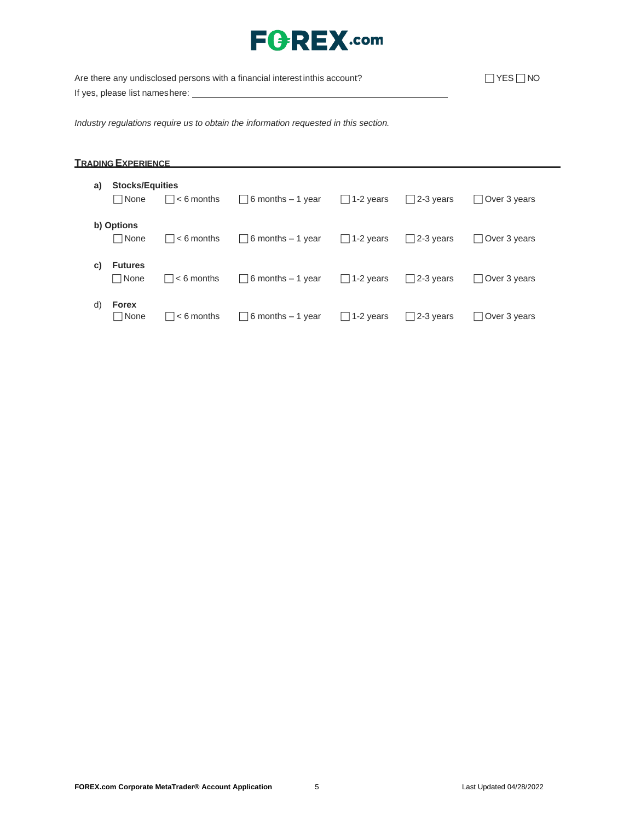# **FGREX.com**

Are there any undisclosed persons with a financial interest inthis account?  $\Box$  YES  $\Box$  NO If yes, please list nameshere: \_\_\_\_\_

*Industry regulations require us to obtain the information requested in this section.*

## **TRADING EXPERIENCE**

| a) | <b>Stocks/Equities</b><br>  None | $\vert \vert$ $<$ 6 months | $\vert$ 6 months – 1 year | $\Box$ 1-2 years | $\vert$ 2-3 years | Over 3 years |
|----|----------------------------------|----------------------------|---------------------------|------------------|-------------------|--------------|
|    | b) Options<br>l INone            | $ $ $ $ < 6 months         | $\vert$ 6 months – 1 year | $\Box$ 1-2 years | $ 2-3$ years      | Over 3 years |
| C) | <b>Futures</b><br>□ None         | $\vert \vert$ $<$ 6 months | $\Box$ 6 months – 1 year  | $\Box$ 1-2 years | $\Box$ 2-3 years  | Over 3 years |
| d) | <b>Forex</b><br>□ None           | $\vert \ \vert$ < 6 months | $\Box$ 6 months $-1$ year | $\Box$ 1-2 years | $\Box$ 2-3 years  | Over 3 years |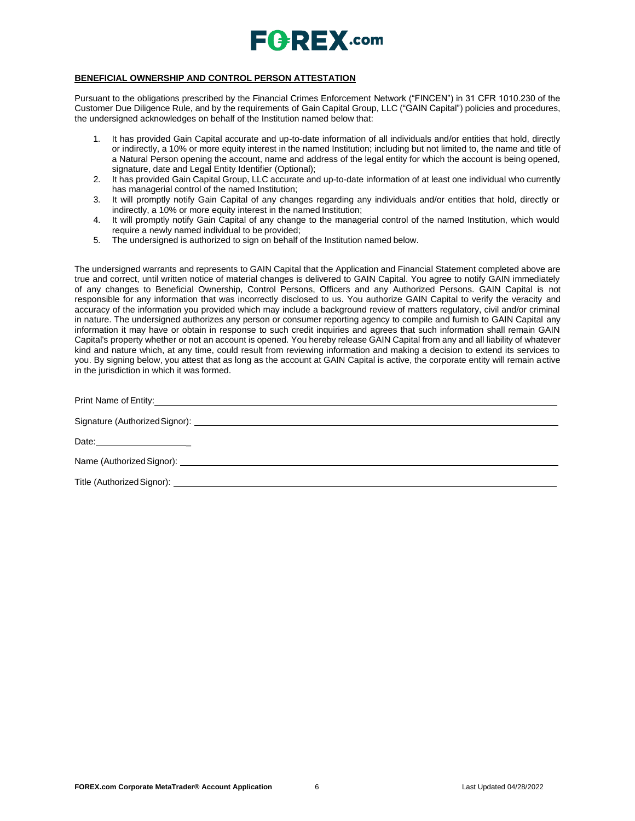

### **BENEFICIAL OWNERSHIP AND CONTROL PERSON ATTESTATION**

Pursuant to the obligations prescribed by the Financial Crimes Enforcement Network ("FINCEN") in 31 CFR 1010.230 of the Customer Due Diligence Rule, and by the requirements of Gain Capital Group, LLC ("GAIN Capital") policies and procedures, the undersigned acknowledges on behalf of the Institution named below that:

- 1. It has provided Gain Capital accurate and up-to-date information of all individuals and/or entities that hold, directly or indirectly, a 10% or more equity interest in the named Institution; including but not limited to, the name and title of a Natural Person opening the account, name and address of the legal entity for which the account is being opened, signature, date and Legal Entity Identifier (Optional);
- 2. It has provided Gain Capital Group, LLC accurate and up-to-date information of at least one individual who currently has managerial control of the named Institution;
- 3. It will promptly notify Gain Capital of any changes regarding any individuals and/or entities that hold, directly or indirectly, a 10% or more equity interest in the named Institution;
- 4. It will promptly notify Gain Capital of any change to the managerial control of the named Institution, which would require a newly named individual to be provided;
- 5. The undersigned is authorized to sign on behalf of the Institution named below.

The undersigned warrants and represents to GAIN Capital that the Application and Financial Statement completed above are true and correct, until written notice of material changes is delivered to GAIN Capital. You agree to notify GAIN immediately of any changes to Beneficial Ownership, Control Persons, Officers and any Authorized Persons. GAIN Capital is not responsible for any information that was incorrectly disclosed to us. You authorize GAIN Capital to verify the veracity and accuracy of the information you provided which may include a background review of matters regulatory, civil and/or criminal in nature. The undersigned authorizes any person or consumer reporting agency to compile and furnish to GAIN Capital any information it may have or obtain in response to such credit inquiries and agrees that such information shall remain GAIN Capital's property whether or not an account is opened. You hereby release GAIN Capital from any and all liability of whatever kind and nature which, at any time, could result from reviewing information and making a decision to extend its services to you. By signing below, you attest that as long as the account at GAIN Capital is active, the corporate entity will remain active in the jurisdiction in which it was formed.

| Title (Authorized Signor): Law and Contract Contract Contract Contract Contract Contract Contract Contract Contract Contract Contract Contract Contract Contract Contract Contract Contract Contract Contract Contract Contrac |
|--------------------------------------------------------------------------------------------------------------------------------------------------------------------------------------------------------------------------------|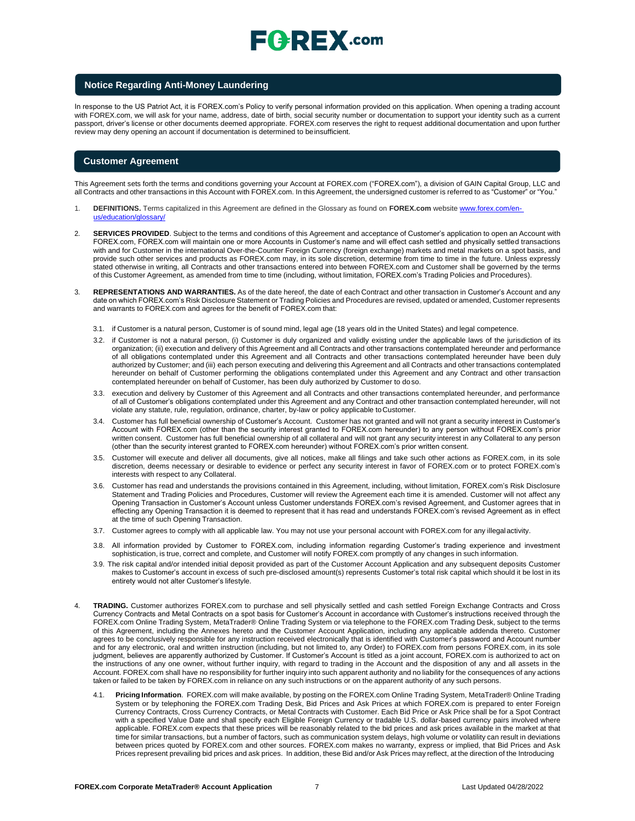### **Notice Regarding Anti-Money Laundering**

In response to the US Patriot Act, it is FOREX.com's Policy to verify personal information provided on this application. When opening a trading account with FOREX.com, we will ask for your name, address, date of birth, social security number or documentation to support your identity such as a current passport, driver's license or other documents deemed appropriate. FOREX.com reserves the right to request additional documentation and upon further review may deny opening an account if documentation is determined to beinsufficient.

#### **Customer Agreement**

This Agreement sets forth the terms and conditions governing your Account at FOREX.com ("FOREX.com"), a division of GAIN Capital Group, LLC and all Contracts and other transactions in this Account with FOREX.com. In this Agreement, the undersigned customer is referred to as "Customer" or "You."

- 1. **DEFINITIONS.** Terms capitalized in this Agreement are defined in the Glossary as found on **FOREX.com** website [www.forex.com/en](http://www.forex.com/en-us/education/glossary/)[us/education/glossary/](http://www.forex.com/en-us/education/glossary/)
- 2. **SERVICES PROVIDED**. Subject to the terms and conditions of this Agreement and acceptance of Customer's application to open an Account with FOREX.com, FOREX.com will maintain one or more Accounts in Customer's name and will effect cash settled and physically settled transactions with and for Customer in the international Over-the-Counter Foreign Currency (foreign exchange) markets and metal markets on a spot basis, and provide such other services and products as FOREX.com may, in its sole discretion, determine from time to time in the future. Unless expressly stated otherwise in writing, all Contracts and other transactions entered into between FOREX.com and Customer shall be governed by the terms of this Customer Agreement, as amended from time to time (including, without limitation, FOREX.com's Trading Policies and Procedures).
- 3. **REPRESENTATIONS AND WARRANTIES.** As of the date hereof, the date of each Contract and other transaction in Customer's Account and any date on which FOREX.com's Risk Disclosure Statement or Trading Policies and Procedures are revised, updated or amended, Customer represents and warrants to FOREX.com and agrees for the benefit of FOREX.com that:
	- 3.1. if Customer is a natural person, Customer is of sound mind, legal age (18 years old in the United States) and legal competence.
	- 3.2. if Customer is not a natural person, (i) Customer is duly organized and validly existing under the applicable laws of the jurisdiction of its organization; (ii) execution and delivery of this Agreement and all Contracts and other transactions contemplated hereunder and performance of all obligations contemplated under this Agreement and all Contracts and other transactions contemplated hereunder have been duly authorized by Customer; and (iii) each person executing and delivering this Agreement and all Contracts and other transactions contemplated hereunder on behalf of Customer performing the obligations contemplated under this Agreement and any Contract and other transaction contemplated hereunder on behalf of Customer, has been duly authorized by Customer to doso.
	- 3.3. execution and delivery by Customer of this Agreement and all Contracts and other transactions contemplated hereunder, and performance of all of Customer's obligations contemplated under this Agreement and any Contract and other transaction contemplated hereunder, will not violate any statute, rule, regulation, ordinance, charter, by-law or policy applicable toCustomer.
	- 3.4. Customer has full beneficial ownership of Customer's Account. Customer has not granted and will not grant a security interest in Customer's Account with FOREX.com (other than the security interest granted to FOREX.com hereunder) to any person without FOREX.com's prior written consent. Customer has full beneficial ownership of all collateral and will not grant any security interest in any Collateral to any person (other than the security interest granted to FOREX.com hereunder) without FOREX.com's prior written consent.
	- 3.5. Customer will execute and deliver all documents, give all notices, make all filings and take such other actions as FOREX.com, in its sole discretion, deems necessary or desirable to evidence or perfect any security interest in favor of FOREX.com or to protect FOREX.com's interests with respect to any Collateral.
	- 3.6. Customer has read and understands the provisions contained in this Agreement, including, without limitation, FOREX.com's Risk Disclosure Statement and Trading Policies and Procedures, Customer will review the Agreement each time it is amended. Customer will not affect any Opening Transaction in Customer's Account unless Customer understands FOREX.com's revised Agreement, and Customer agrees that in effecting any Opening Transaction it is deemed to represent that it has read and understands FOREX.com's revised Agreement as in effect at the time of such Opening Transaction.
	- 3.7. Customer agrees to comply with all applicable law. You may not use your personal account with FOREX.com for any illegal activity.
	- 3.8. All information provided by Customer to FOREX.com, including information regarding Customer's trading experience and investment sophistication, is true, correct and complete, and Customer will notify FOREX.com promptly of any changes in such information.
	- 3.9. The risk capital and/or intended initial deposit provided as part of the Customer Account Application and any subsequent deposits Customer makes to Customer's account in excess of such pre-disclosed amount(s) represents Customer's total risk capital which should it be lost in its entirety would not alter Customer's lifestyle.
- 4. **TRADING.** Customer authorizes FOREX.com to purchase and sell physically settled and cash settled Foreign Exchange Contracts and Cross Currency Contracts and Metal Contracts on a spot basis for Customer's Account in accordance with Customer's instructions received through the FOREX.com Online Trading System, MetaTrader® Online Trading System or via telephone to the FOREX.com Trading Desk, subject to the terms of this Agreement, including the Annexes hereto and the Customer Account Application, including any applicable addenda thereto. Customer agrees to be conclusively responsible for any instruction received electronically that is identified with Customer's password and Account number and for any electronic, oral and written instruction (including, but not limited to, any Order) to FOREX.com from persons FOREX.com, in its sole judgment, believes are apparently authorized by Customer. If Customer's Account is titled as a joint account, FOREX.com is authorized to act on the instructions of any one owner, without further inquiry, with regard to trading in the Account and the disposition of any and all assets in the Account. FOREX.com shall have no responsibility for further inquiry into such apparent authority and no liability for the consequences of any actions taken or failed to be taken by FOREX.com in reliance on any such instructions or on the apparent authority of any such persons.
	- 4.1. **Pricing Information**. FOREX.com will make available, by posting on the FOREX.com Online Trading System, MetaTrader® Online Trading System or by telephoning the FOREX.com Trading Desk, Bid Prices and Ask Prices at which FOREX.com is prepared to enter Foreign Currency Contracts, Cross Currency Contracts, or Metal Contracts with Customer. Each Bid Price or Ask Price shall be for a Spot Contract with a specified Value Date and shall specify each Eligible Foreign Currency or tradable U.S. dollar-based currency pairs involved where applicable. FOREX.com expects that these prices will be reasonably related to the bid prices and ask prices available in the market at that time for similar transactions, but a number of factors, such as communication system delays, high volume or volatility can result in deviations between prices quoted by FOREX.com and other sources. FOREX.com makes no warranty, express or implied, that Bid Prices and Ask Prices represent prevailing bid prices and ask prices. In addition, these Bid and/or Ask Prices may reflect, at the direction of the Introducing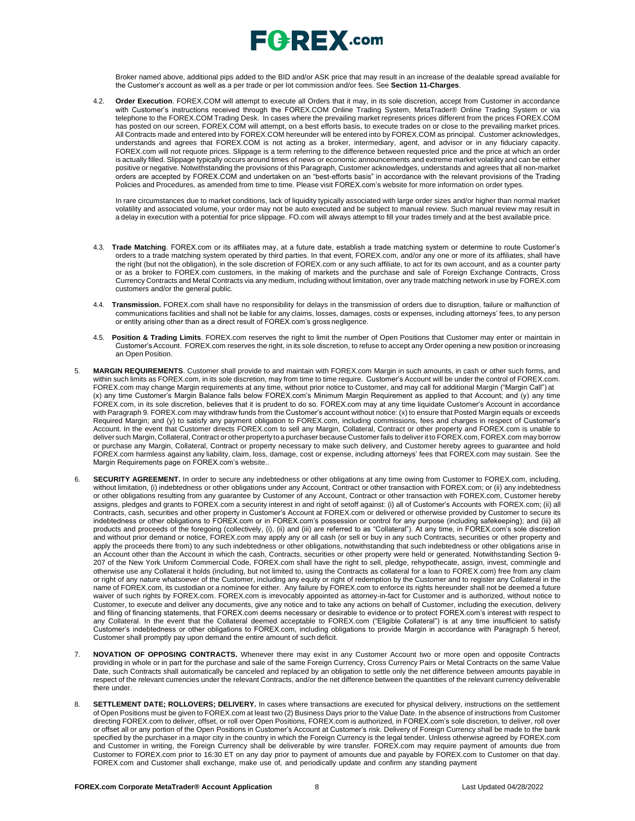

Broker named above, additional pips added to the BID and/or ASK price that may result in an increase of the dealable spread available for the Customer's account as well as a per trade or per lot commission and/or fees. See **Section 11-Charges**.

4.2. **Order Execution**. FOREX.COM will attempt to execute all Orders that it may, in its sole discretion, accept from Customer in accordance with Customer's instructions received through the FOREX.COM Online Trading System, MetaTrader® Online Trading System or via telephone to the FOREX.COM Trading Desk. In cases where the prevailing market represents prices different from the prices FOREX.COM has posted on our screen, FOREX.COM will attempt, on a best efforts basis, to execute trades on or close to the prevailing market prices. All Contracts made and entered into by FOREX.COM hereunder will be entered into by FOREX.COM as principal. Customer acknowledges, understands and agrees that FOREX.COM is not acting as a broker, intermediary, agent, and advisor or in any fiduciary capacity. FOREX.com will not requote prices. Slippage is a term referring to the difference between requested price and the price at which an order is actually filled. Slippage typically occurs around times of news or economic announcements and extreme market volatility and can be either positive or negative. Notwithstanding the provisions of this Paragraph, Customer acknowledges, understands and agrees that all non-market orders are accepted by FOREX.COM and undertaken on an "best-efforts basis" in accordance with the relevant provisions of the Trading Policies and Procedures, as amended from time to time. Please visit FOREX.com's website for more information on order types.

In rare circumstances due to market conditions, lack of liquidity typically associated with large order sizes and/or higher than normal market volatility and associated volume, your order may not be auto executed and be subject to manual review. Such manual review may result in a delay in execution with a potential for price slippage. [FO.com w](http://forex.com/)ill always attempt to fill your trades timely and at the best available price.

- 4.3. **Trade Matching**. FOREX.com or its affiliates may, at a future date, establish a trade matching system or determine to route Customer's orders to a trade matching system operated by third parties. In that event, FOREX.com, and/or any one or more of its affiliates, shall have the right (but not the obligation), in the sole discretion of FOREX.com or any such affiliate, to act for its own account, and as a counter party or as a broker to FOREX.com customers, in the making of markets and the purchase and sale of Foreign Exchange Contracts, Cross Currency Contracts and Metal Contracts via any medium, including without limitation, over any trade matching network in use by FOREX.com customers and/or the general public.
- 4.4. **Transmission.** FOREX.com shall have no responsibility for delays in the transmission of orders due to disruption, failure or malfunction of communications facilities and shall not be liable for any claims, losses, damages, costs or expenses, including attorneys' fees, to any person or entity arising other than as a direct result of FOREX.com's gross negligence.
- 4.5. **Position & Trading Limits**. FOREX.com reserves the right to limit the number of Open Positions that Customer may enter or maintain in Customer's Account. FOREX.com reserves the right, in its sole discretion, to refuse to accept any Order opening a new position or increasing an Open Position.
- 5. **MARGIN REQUIREMENTS**. Customer shall provide to and maintain with FOREX.com Margin in such amounts, in cash or other such forms, and within such limits as FOREX.com, in its sole discretion, may from time to time require. Customer's Account will be under the control of FOREX.com. FOREX.com may change Margin requirements at any time, without prior notice to Customer, and may call for additional Margin ("Margin Call") at (x) any time Customer's Margin Balance falls below FOREX.com's Minimum Margin Requirement as applied to that Account; and (y) any time FOREX.com, in its sole discretion, believes that it is prudent to do so. FOREX.com may at any time liquidate Customer's Account in accordance with Paragraph 9. FOREX.com may withdraw funds from the Customer's account without notice: (x) to ensure that Posted Margin equals or exceeds Required Margin; and (y) to satisfy any payment obligation to FOREX.com, including commissions, fees and charges in respect of Customer's Account. In the event that Customer directs FOREX.com to sell any Margin, Collateral, Contract or other property and FOREX.com is unable to deliver such Margin, Collateral, Contract or other propertyto a purchaser because Customer fails to deliver it to FOREX.com, FOREX.com may borrow or purchase any Margin, Collateral, Contract or property necessary to make such delivery, and Customer hereby agrees to guarantee and hold FOREX.com harmless against any liability, claim, loss, damage, cost or expense, including attorneys' fees that FOREX.com may sustain. See the Margin Requirements page on FOREX.com's website..
- 6. **SECURITY AGREEMENT.** In order to secure any indebtedness or other obligations at any time owing from Customer to FOREX.com, including, without limitation, (i) indebtedness or other obligations under any Account, Contract or other transaction with FOREX.com; or (ii) any indebtedness or other obligations resulting from any guarantee by Customer of any Account, Contract or other transaction with FOREX.com, Customer hereby assigns, pledges and grants to FOREX.com a security interest in and right of setoff against: (i) all of Customer's Accounts with FOREX.com; (ii) all Contracts, cash, securities and other property in Customer's Account at FOREX.com or delivered or otherwise provided by Customer to secure its indebtedness or other obligations to FOREX.com or in FOREX.com's possession or control for any purpose (including safekeeping); and (iii) all products and proceeds of the foregoing (collectively, (i), (ii) and (iii) are referred to as "Collateral"). At any time, in FOREX.com's sole discretion and without prior demand or notice, FOREX.com may apply any or all cash (or sell or buy in any such Contracts, securities or other property and apply the proceeds there from) to any such indebtedness or other obligations, notwithstanding that such indebtedness or other obligations arise in an Account other than the Account in which the cash, Contracts, securities or other property were held or generated. Notwithstanding Section 9- 207 of the New York Uniform Commercial Code, FOREX.com shall have the right to sell, pledge, rehypothecate, assign, invest, commingle and otherwise use any Collateral it holds (including, but not limited to, using the Contracts as collateral for a loan to FOREX.com) free from any claim or right of any nature whatsoever of the Customer, including any equity or right of redemption by the Customer and to register any Collateral in the name of FOREX.com, its custodian or a nominee for either. Any failure by FOREX.com to enforce its rights hereunder shall not be deemed a future waiver of such rights by FOREX.com. FOREX.com is irrevocably appointed as attorney-in-fact for Customer and is authorized, without notice to Customer, to execute and deliver any documents, give any notice and to take any actions on behalf of Customer, including the execution, delivery and filing of financing statements, that FOREX.com deems necessary or desirable to evidence or to protect FOREX.com's interest with respect to any Collateral. In the event that the Collateral deemed acceptable to FOREX.com ("Eligible Collateral") is at any time insufficient to satisfy Customer's indebtedness or other obligations to FOREX.com, including obligations to provide Margin in accordance with Paragraph 5 hereof, Customer shall promptly pay upon demand the entire amount of such deficit.
- 7. **NOVATION OF OPPOSING CONTRACTS.** Whenever there may exist in any Customer Account two or more open and opposite Contracts providing in whole or in part for the purchase and sale of the same Foreign Currency, Cross Currency Pairs or Metal Contracts on the same Value Date, such Contracts shall automatically be canceled and replaced by an obligation to settle only the net difference between amounts payable in respect of the relevant currencies under the relevant Contracts, and/or the net difference between the quantities of the relevant currency deliverable there under.
- 8. **SETTLEMENT DATE; ROLLOVERS; DELIVERY.** In cases where transactions are executed for physical delivery, instructions on the settlement of Open Positions must be given to FOREX.com at least two (2) Business Days prior to the Value Date. In the absence of instructions from Customer directing FOREX.com to deliver, offset, or roll over Open Positions, FOREX.com is authorized, in FOREX.com's sole discretion, to deliver, roll over or offset all or any portion of the Open Positions in Customer's Account at Customer's risk. Delivery of Foreign Currency shall be made to the bank specified by the purchaser in a major city in the country in which the Foreign Currency is the legal tender. Unless otherwise agreed by FOREX.com and Customer in writing, the Foreign Currency shall be deliverable by wire transfer. FOREX.com may require payment of amounts due from Customer to FOREX.com prior to 16:30 ET on any day prior to payment of amounts due and payable by FOREX.com to Customer on that day. FOREX.com and Customer shall exchange, make use of, and periodically update and confirm any standing payment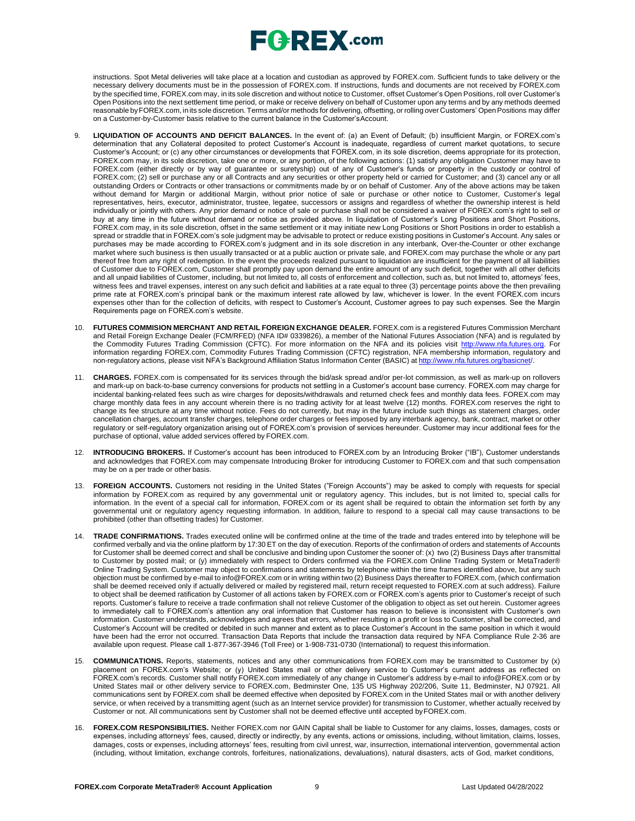instructions. Spot Metal deliveries will take place at a location and custodian as approved by FOREX.com. Sufficient funds to take delivery or the necessary delivery documents must be in the possession of FOREX.com. If instructions, funds and documents are not received by FOREX.com by the specified time, FOREX.com may, in its sole discretion and without notice to Customer, offset Customer's Open Positions, roll over Customer's Open Positions into the next settlement time period, or make or receive delivery on behalf of Customer upon any terms and by any methods deemed reasonable byFOREX.com, in its sole discretion. Terms and/or methods for delivering, offsetting, or rolling over Customers' OpenPositions may differ on a Customer-by-Customer basis relative to the current balance in the Customer'sAccount.

- 9. **LIQUIDATION OF ACCOUNTS AND DEFICIT BALANCES.** In the event of: (a) an Event of Default; (b) insufficient Margin, or FOREX.com's determination that any Collateral deposited to protect Customer's Account is inadequate, regardless of current market quotations, to secure Customer's Account; or (c) any other circumstances or developments that FOREX.com, in its sole discretion, deems appropriate for its protection, FOREX.com may, in its sole discretion, take one or more, or any portion, of the following actions: (1) satisfy any obligation Customer may have to FOREX.com (either directly or by way of guarantee or suretyship) out of any of Customer's funds or property in the custody or control of FOREX.com; (2) sell or purchase any or all Contracts and any securities or other property held or carried for Customer; and (3) cancel any or all outstanding Orders or Contracts or other transactions or commitments made by or on behalf of Customer. Any of the above actions may be taken without demand for Margin or additional Margin, without prior notice of sale or purchase or other notice to Customer, Customer's legal representatives, heirs, executor, administrator, trustee, legatee, successors or assigns and regardless of whether the ownership interest is held individually or jointly with others. Any prior demand or notice of sale or purchase shall not be considered a waiver of FOREX.com's right to sell or buy at any time in the future without demand or notice as provided above. In liquidation of Customer's Long Positions and Short Positions, FOREX.com may, in its sole discretion, offset in the same settlement or it may initiate new Long Positions or Short Positions in order to establish a spread or straddle that in FOREX.com's sole judgment may be advisable to protect or reduce existing positions in Customer's Account. Any sales or purchases may be made according to FOREX.com's judgment and in its sole discretion in any interbank, Over-the-Counter or other exchange market where such business is then usually transacted or at a public auction or private sale, and FOREX.com may purchase the whole or any part thereof free from any right of redemption. In the event the proceeds realized pursuant to liquidation are insufficient for the payment of all liabilities of Customer due to FOREX.com, Customer shall promptly pay upon demand the entire amount of any such deficit, together with all other deficits and all unpaid liabilities of Customer, including, but not limited to, all costs of enforcement and collection, such as, but not limited to, attorneys' fees, witness fees and travel expenses, interest on any such deficit and liabilities at a rate equal to three (3) percentage points above the then prevailing prime rate at FOREX.com's principal bank or the maximum interest rate allowed by law, whichever is lower. In the event FOREX.com incurs expenses other than for the collection of deficits, with respect to Customer's Account, Customer agrees to pay such expenses. See the Margin Requirements page on FOREX.com's website.
- 10. **FUTURES COMMISION MERCHANT AND RETAIL FOREIGN EXCHANGE DEALER.** FOREX.com is a registered Futures Commission Merchant and Retail Foreign Exchange Dealer (FCM/RFED) (NFA ID# 0339826), a member of the National Futures Association (NFA) and is regulated by the Commodity Futures Trading Commission (CFTC). For more information on the NFA and its policies visit [http://www.nfa.futures.org.](http://www.nfa.futures.org/) For information regarding FOREX.com, Commodity Futures Trading Commission (CFTC) registration, NFA membership information, regulatory and non-regulatory actions, please visit NFA's Background Affiliation Status Information Center (BASIC) at http://www.nfa.futures.org/l
- 11. **CHARGES.** FOREX.com is compensated for its services through the bid/ask spread and/or per-lot commission, as well as mark-up on rollovers and mark-up on back-to-base currency conversions for products not settling in a Customer's account base currency. FOREX.com may charge for incidental banking-related fees such as wire charges for deposits/withdrawals and returned check fees and monthly data fees. FOREX.com may charge monthly data fees in any account wherein there is no trading activity for at least twelve (12) months. FOREX.com reserves the right to change its fee structure at any time without notice. Fees do not currently, but may in the future include such things as statement charges, order cancellation charges, account transfer charges, telephone order charges or fees imposed by any interbank agency, bank, contract, market or other regulatory or self-regulatory organization arising out of FOREX.com's provision of services hereunder. Customer may incur additional fees for the purchase of optional, value added services offered by FOREX.com.
- 12. **INTRODUCING BROKERS.** If Customer's account has been introduced to FOREX.com by an Introducing Broker ("IB"), Customer understands and acknowledges that FOREX.com may compensate Introducing Broker for introducing Customer to FOREX.com and that such compensation may be on a per trade or other basis.
- 13. **FOREIGN ACCOUNTS.** Customers not residing in the United States ("Foreign Accounts") may be asked to comply with requests for special information by FOREX.com as required by any governmental unit or regulatory agency. This includes, but is not limited to, special calls for information. In the event of a special call for information, FOREX.com or its agent shall be required to obtain the information set forth by any governmental unit or regulatory agency requesting information. In addition, failure to respond to a special call may cause transactions to be prohibited (other than offsetting trades) for Customer.
- 14. **TRADE CONFIRMATIONS.** Trades executed online will be confirmed online at the time of the trade and trades entered into by telephone will be confirmed verbally and via the online platform by 17:30 ET on the day of execution. Reports of the confirmation of orders and statements of Accounts for Customer shall be deemed correct and shall be conclusive and binding upon Customer the sooner of: (x) two (2) Business Days after transmittal to Customer by posted mail; or (y) immediately with respect to Orders confirmed via the FOREX.com Online Trading System or MetaTrader® Online Trading System. Customer may object to confirmations and statements by telephone within the time frames identified above, but any such objection must be confirmed by e-mail to [info@FOREX.com](mailto:info@FOREX.com) or in writing within two (2) Business Days thereafter to FOREX.com, (which confirmation shall be deemed received only if actually delivered or mailed by registered mail, return receipt requested to FOREX.com at such address). Failure to object shall be deemed ratification by Customer of all actions taken by FOREX.com or FOREX.com's agents prior to Customer's receipt of such reports. Customer's failure to receive a trade confirmation shall not relieve Customer of the obligation to object as set out herein. Customer agrees to immediately call to FOREX.com's attention any oral information that Customer has reason to believe is inconsistent with Customer's own information. Customer understands, acknowledges and agrees that errors, whether resulting in a profit or loss to Customer, shall be corrected, and Customer's Account will be credited or debited in such manner and extent as to place Customer's Account in the same position in which it would have been had the error not occurred. Transaction Data Reports that include the transaction data required by NFA Compliance Rule 2-36 are available upon request. Please call 1-877-367-3946 (Toll Free) or 1-908-731-0730 (International) to request this information.
- 15. **COMMUNICATIONS.** Reports, statements, notices and any other communications from FOREX.com may be transmitted to Customer by (x) placement on FOREX.com's Website; or (y) United States mail or other delivery service to Customer's current address as reflected on FOREX.com's records. Customer shall notify FOREX.com immediately of any change in Customer's address by e-mail to [info@FOREX.com](mailto:info@FOREX.com) or by United States mail or other delivery service to FOREX.com, Bedminster One, 135 US Highway 202/206, Suite 11, Bedminster, NJ 07921. All communications sent by FOREX.com shall be deemed effective when deposited by FOREX.com in the United States mail or with another delivery service, or when received by a transmitting agent (such as an Internet service provider) for transmission to Customer, whether actually received by Customer or not. All communications sent by Customer shall not be deemed effective until accepted byFOREX.com.
- 16. **FOREX.COM RESPONSIBILITIES.** Neither FOREX.com nor GAIN Capital shall be liable to Customer for any claims, losses, damages, costs or expenses, including attorneys' fees, caused, directly or indirectly, by any events, actions or omissions, including, without limitation, claims, losses, damages, costs or expenses, including attorneys' fees, resulting from civil unrest, war, insurrection, international intervention, governmental action (including, without limitation, exchange controls, forfeitures, nationalizations, devaluations), natural disasters, acts of God, market conditions,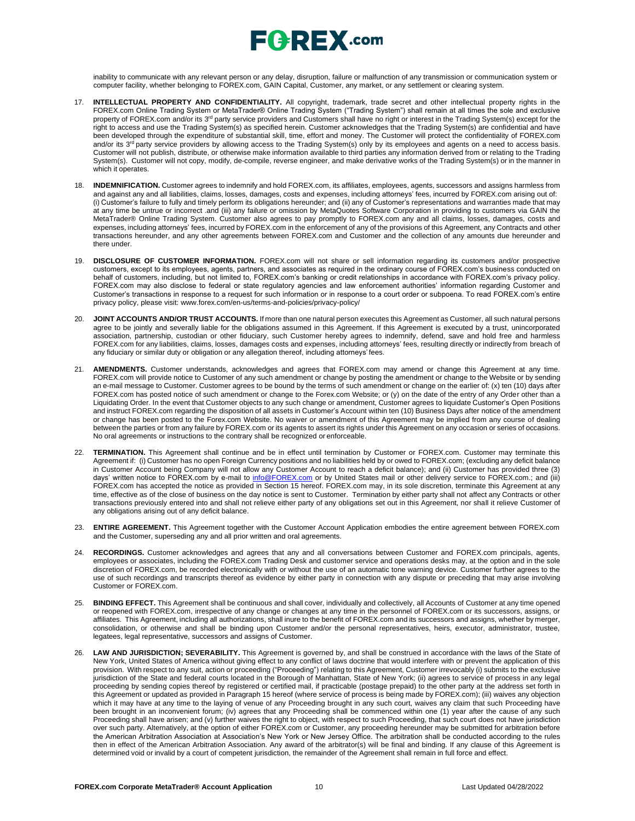

inability to communicate with any relevant person or any delay, disruption, failure or malfunction of any transmission or communication system or computer facility, whether belonging to FOREX.com, GAIN Capital, Customer, any market, or any settlement or clearing system.

- 17. **INTELLECTUAL PROPERTY AND CONFIDENTIALITY.** All copyright, trademark, trade secret and other intellectual property rights in the FOREX.com Online Trading System or MetaTrader® Online Trading System ("Trading System") shall remain at all times the sole and exclusive property of FOREX.com and/or its 3<sup>rd</sup> party service providers and Customers shall have no right or interest in the Trading System(s) except for the right to access and use the Trading System(s) as specified herein. Customer acknowledges that the Trading System(s) are confidential and have been developed through the expenditure of substantial skill, time, effort and money. The Customer will protect the confidentiality of FOREX.com and/or its 3<sup>rd</sup> party service providers by allowing access to the Trading System(s) only by its employees and agents on a need to access basis. Customer will not publish, distribute, or otherwise make information available to third parties any information derived from or relating to the Trading System(s). Customer will not copy, modify, de-compile, reverse engineer, and make derivative works of the Trading System(s) or in the manner in which it operates.
- 18. **INDEMNIFICATION.** Customer agrees to indemnify and hold FOREX.com, its affiliates, employees, agents, successors and assigns harmless from and against any and all liabilities, claims, losses, damages, costs and expenses, including attorneys' fees, incurred by FOREX.com arising out of: (i) Customer's failure to fully and timely perform its obligations hereunder; and (ii) any of Customer's representations and warranties made that may at any time be untrue or incorrect .and (iii) any failure or omission by MetaQuotes Software Corporation in providing to customers via GAIN the MetaTrader® Online Trading System. Customer also agrees to pay promptly to FOREX.com any and all claims, losses, damages, costs and expenses, including attorneys' fees, incurred by FOREX.com in the enforcement of any of the provisions of this Agreement, any Contracts and other transactions hereunder, and any other agreements between FOREX.com and Customer and the collection of any amounts due hereunder and there under.
- 19. **DISCLOSURE OF CUSTOMER INFORMATION.** FOREX.com will not share or sell information regarding its customers and/or prospective customers, except to its employees, agents, partners, and associates as required in the ordinary course of FOREX.com's business conducted on behalf of customers, including, but not limited to, FOREX.com's banking or credit relationships in accordance with FOREX.com's privacy policy. FOREX.com may also disclose to federal or state regulatory agencies and law enforcement authorities' information regarding Customer and Customer's transactions in response to a request for such information or in response to a court order or subpoena. To read FOREX.com's entire privacy policy, please visit: [www.forex.com/en-us/terms-and-policies/privacy-policy/](http://www.forex.com/en-us/terms-and-policies/privacy-policy/)
- 20. **JOINT ACCOUNTS AND/OR TRUST ACCOUNTS.** If more than one natural person executes this Agreement as Customer, all such natural persons agree to be jointly and severally liable for the obligations assumed in this Agreement. If this Agreement is executed by a trust, unincorporated association, partnership, custodian or other fiduciary, such Customer hereby agrees to indemnify, defend, save and hold free and harmless FOREX.com for any liabilities, claims, losses, damages costs and expenses, including attorneys' fees, resulting directly or indirectly from breach of any fiduciary or similar duty or obligation or any allegation thereof, including attorneys' fees.
- 21. **AMENDMENTS.** Customer understands, acknowledges and agrees that FOREX.com may amend or change this Agreement at any time. FOREX.com will provide notice to Customer of any such amendment or change by posting the amendment or change to the Website or by sending an e-mail message to Customer. Customer agrees to be bound by the terms of such amendment or change on the earlier of: (x) ten (10) days after FOREX.com has posted notice of such amendment or change to the Forex.com Website; or (y) on the date of the entry of any Order other than a Liquidating Order. In the event that Customer objects to any such change or amendment, Customer agrees to liquidate Customer's Open Positions and instruct FOREX.com regarding the disposition of all assets in Customer's Account within ten (10) Business Days after notice of the amendment or change has been posted to the Forex.com Website. No waiver or amendment of this Agreement may be implied from any course of dealing between the parties or from any failure by FOREX.com or its agents to assert its rights under this Agreement on any occasion or series of occasions. No oral agreements or instructions to the contrary shall be recognized or enforceable.
- 22. **TERMINATION.** This Agreement shall continue and be in effect until termination by Customer or FOREX.com. Customer may terminate this Agreement if: (i) Customer has no open Foreign Currency positions and no liabilities held by or owed to FOREX.com; (excluding any deficit balance in Customer Account being Company will not allow any Customer Account to reach a deficit balance); and (ii) Customer has provided three (3) days' written notice to FOREX.com by e-mail to [info@FOREX.com](mailto:info@fxadvantage.com) or by United States mail or other delivery service to FOREX.com.; and (iii) FOREX.com has accepted the notice as provided in Section 15 hereof. FOREX.com may, in its sole discretion, terminate this Agreement at any time, effective as of the close of business on the day notice is sent to Customer. Termination by either party shall not affect any Contracts or other transactions previously entered into and shall not relieve either party of any obligations set out in this Agreement, nor shall it relieve Customer of any obligations arising out of any deficit balance.
- 23. **ENTIRE AGREEMENT.** This Agreement together with the Customer Account Application embodies the entire agreement between FOREX.com and the Customer, superseding any and all prior written and oral agreements.
- 24. **RECORDINGS.** Customer acknowledges and agrees that any and all conversations between Customer and FOREX.com principals, agents, employees or associates, including the FOREX.com Trading Desk and customer service and operations desks may, at the option and in the sole discretion of FOREX.com, be recorded electronically with or without the use of an automatic tone warning device. Customer further agrees to the use of such recordings and transcripts thereof as evidence by either party in connection with any dispute or preceding that may arise involving Customer or FOREX.com.
- 25. **BINDING EFFECT.** This Agreement shall be continuous and shall cover, individually and collectively, all Accounts of Customer at any time opened or reopened with FOREX.com, irrespective of any change or changes at any time in the personnel of FOREX.com or its successors, assigns, or affiliates. This Agreement, including all authorizations, shall inure to the benefit of FOREX.com and its successors and assigns, whether by merger, consolidation, or otherwise and shall be binding upon Customer and/or the personal representatives, heirs, executor, administrator, trustee, legatees, legal representative, successors and assigns of Customer.
- 26. **LAW AND JURISDICTION; SEVERABILITY.** This Agreement is governed by, and shall be construed in accordance with the laws of the State of New York, United States of America without giving effect to any conflict of laws doctrine that would interfere with or prevent the application of this provision. With respect to any suit, action or proceeding ("Proceeding") relating to this Agreement, Customer irrevocably (i) submits to the exclusive jurisdiction of the State and federal courts located in the Borough of Manhattan, State of New York; (ii) agrees to service of process in any legal proceeding by sending copies thereof by registered or certified mail, if practicable (postage prepaid) to the other party at the address set forth in this Agreement or updated as provided in Paragraph 15 hereof (where service of process is being made by FOREX.com); (iii) waives any objection which it may have at any time to the laying of venue of any Proceeding brought in any such court, waives any claim that such Proceeding have been brought in an inconvenient forum; (iv) agrees that any Proceeding shall be commenced within one (1) year after the cause of any such Proceeding shall have arisen; and (v) further waives the right to object, with respect to such Proceeding, that such court does not have jurisdiction over such party. Alternatively, at the option of either FOREX.com or Customer, any proceeding hereunder may be submitted for arbitration before the American Arbitration Association at Association's New York or New Jersey Office. The arbitration shall be conducted according to the rules then in effect of the American Arbitration Association. Any award of the arbitrator(s) will be final and binding. If any clause of this Agreement is determined void or invalid by a court of competent jurisdiction, the remainder of the Agreement shall remain in full force and effect.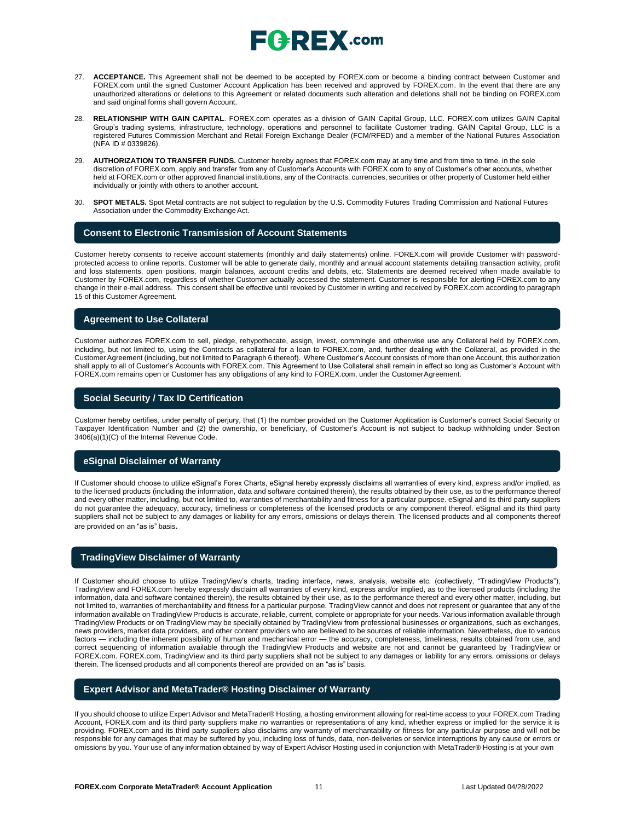- 27. **ACCEPTANCE.** This Agreement shall not be deemed to be accepted by FOREX.com or become a binding contract between Customer and FOREX.com until the signed Customer Account Application has been received and approved by FOREX.com. In the event that there are any unauthorized alterations or deletions to this Agreement or related documents such alteration and deletions shall not be binding on FOREX.com and said original forms shall govern Account.
- 28. **RELATIONSHIP WITH GAIN CAPITAL**. FOREX.com operates as a division of GAIN Capital Group, LLC. FOREX.com utilizes GAIN Capital Group's trading systems, infrastructure, technology, operations and personnel to facilitate Customer trading. GAIN Capital Group, LLC is a registered Futures Commission Merchant and Retail Foreign Exchange Dealer (FCM/RFED) and a member of the National Futures Association (NFA ID # 0339826).
- 29. **AUTHORIZATION TO TRANSFER FUNDS.** Customer hereby agrees that FOREX.com may at any time and from time to time, in the sole discretion of FOREX.com, apply and transfer from any of Customer's Accounts with FOREX.com to any of Customer's other accounts, whether held at FOREX.com or other approved financial institutions, any of the Contracts, currencies, securities or other property of Customer held either individually or jointly with others to another account.
- 30. **SPOT METALS.** Spot Metal contracts are not subject to regulation by the U.S. Commodity Futures Trading Commission and National Futures Association under the Commodity Exchange Act.

#### **Consent to Electronic Transmission of Account Statements**

Customer hereby consents to receive account statements (monthly and daily statements) online. FOREX.com will provide Customer with passwordprotected access to online reports. Customer will be able to generate daily, monthly and annual account statements detailing transaction activity, profit and loss statements, open positions, margin balances, account credits and debits, etc. Statements are deemed received when made available to Customer by FOREX.com, regardless of whether Customer actually accessed the statement. Customer is responsible for alerting FOREX.com to any change in their e-mail address. This consent shall be effective until revoked by Customer in writing and received by FOREX.com according to paragraph 15 of this Customer Agreement.

### **Agreement to Use Collateral**

Customer authorizes FOREX.com to sell, pledge, rehypothecate, assign, invest, commingle and otherwise use any Collateral held by FOREX.com, including, but not limited to, using the Contracts as collateral for a loan to FOREX.com, and, further dealing with the Collateral, as provided in the Customer Agreement (including, but not limited to Paragraph 6 thereof). Where Customer's Account consists of more than one Account, this authorization shall apply to all of Customer's Accounts with FOREX.com. This Agreement to Use Collateral shall remain in effect so long as Customer's Account with FOREX.com remains open or Customer has any obligations of any kind to FOREX.com, under the CustomerAgreement.

### **Social Security / Tax ID Certification**

Customer hereby certifies, under penalty of perjury, that (1) the number provided on the Customer Application is Customer's correct Social Security or Taxpayer Identification Number and (2) the ownership, or beneficiary, of Customer's Account is not subject to backup withholding under Section 3406(a)(1)(C) of the Internal Revenue Code.

## **eSignal Disclaimer of Warranty**

If Customer should choose to utilize eSignal's Forex Charts, eSignal hereby expressly disclaims all warranties of every kind, express and/or implied, as to the licensed products (including the information, data and software contained therein), the results obtained by their use, as to the performance thereof and every other matter, including, but not limited to, warranties of merchantability and fitness for a particular purpose. eSignal and its third party suppliers do not guarantee the adequacy, accuracy, timeliness or completeness of the licensed products or any component thereof. eSignal and its third party suppliers shall not be subject to any damages or liability for any errors, omissions or delays therein. The licensed products and all components thereof are provided on an "as is" basis.

### **TradingView Disclaimer of Warranty**

If Customer should choose to utilize TradingView's charts, trading interface, news, analysis, website etc. (collectively, "TradingView Products"), TradingView and FOREX.com hereby expressly disclaim all warranties of every kind, express and/or implied, as to the licensed products (including the information, data and software contained therein), the results obtained by their use, as to the performance thereof and every other matter, including, but not limited to, warranties of merchantability and fitness for a particular purpose. TradingView cannot and does not represent or guarantee that any of the information available on TradingView Products is accurate, reliable, current, complete or appropriate for your needs. Various information available through TradingView Products or on TradingView may be specially obtained by TradingView from professional businesses or organizations, such as exchanges, news providers, market data providers, and other content providers who are believed to be sources of reliable information. Nevertheless, due to various factors — including the inherent possibility of human and mechanical error — the accuracy, completeness, timeliness, results obtained from use, and correct sequencing of information available through the TradingView Products and website are not and cannot be guaranteed by TradingView or FOREX.com. FOREX.com, TradingView and its third party suppliers shall not be subject to any damages or liability for any errors, omissions or delays therein. The licensed products and all components thereof are provided on an "as is" basis.

### **Expert Advisor and MetaTrader® Hosting Disclaimer of Warranty**

If you should choose to utilize Expert Advisor and MetaTrader® Hosting, a hosting environment allowing for real-time access to your FOREX.com Trading Account, FOREX.com and its third party suppliers make no warranties or representations of any kind, whether express or implied for the service it is providing. FOREX.com and its third party suppliers also disclaims any warranty of merchantability or fitness for any particular purpose and will not be responsible for any damages that may be suffered by you, including loss of funds, data, non-deliveries or service interruptions by any cause or errors or omissions by you. Your use of any information obtained by way of Expert Advisor Hosting used in conjunction with MetaTrader® Hosting is at your own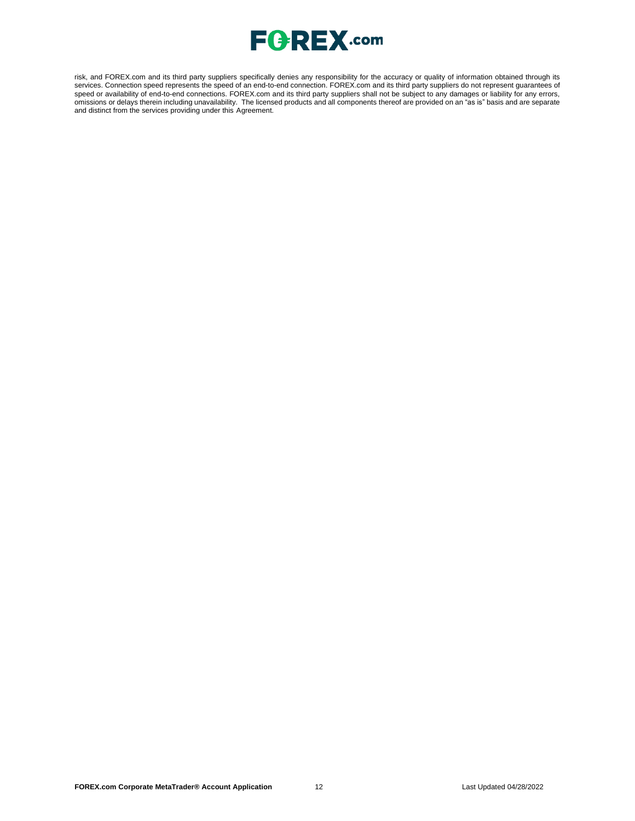

risk, and FOREX.com and its third party suppliers specifically denies any responsibility for the accuracy or quality of information obtained through its services. Connection speed represents the speed of an end-to-end connection. FOREX.com and its third party suppliers do not represent guarantees of speed or availability of end-to-end connections. FOREX.com and its third party suppliers shall not be subject to any damages or liability for any errors, omissions or delays therein including unavailability. The licensed products and all components thereof are provided on an "as is" basis and are separate and distinct from the services providing under this Agreement.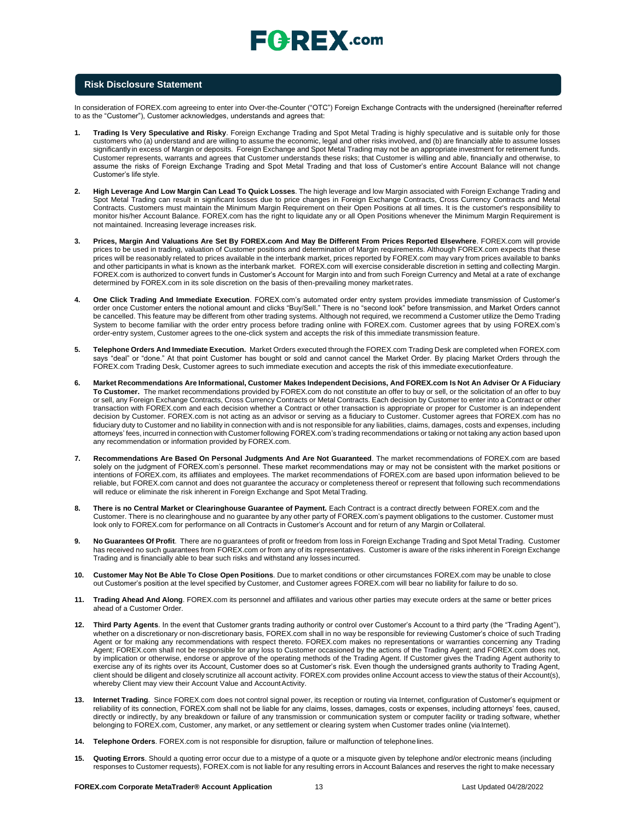

#### **Risk Disclosure Statement**

In consideration of FOREX.com agreeing to enter into Over-the-Counter ("OTC") Foreign Exchange Contracts with the undersigned (hereinafter referred to as the "Customer"), Customer acknowledges, understands and agrees that:

- **1. Trading Is Very Speculative and Risky**. Foreign Exchange Trading and Spot Metal Trading is highly speculative and is suitable only for those customers who (a) understand and are willing to assume the economic, legal and other risks involved, and (b) are financially able to assume losses significantly in excess of Margin or deposits. Foreign Exchange and Spot Metal Trading may not be an appropriate investment for retirement funds. Customer represents, warrants and agrees that Customer understands these risks; that Customer is willing and able, financially and otherwise, to assume the risks of Foreign Exchange Trading and Spot Metal Trading and that loss of Customer's entire Account Balance will not change Customer's life style.
- **2. High Leverage And Low Margin Can Lead To Quick Losses**. The high leverage and low Margin associated with Foreign Exchange Trading and Spot Metal Trading can result in significant losses due to price changes in Foreign Exchange Contracts, Cross Currency Contracts and Metal Contracts. Customers must maintain the Minimum Margin Requirement on their Open Positions at all times. It is the customer's responsibility to monitor his/her Account Balance. FOREX.com has the right to liquidate any or all Open Positions whenever the Minimum Margin Requirement is not maintained. Increasing leverage increases risk.
- **3. Prices, Margin And Valuations Are Set By FOREX.com And May Be Different From Prices Reported Elsewhere**. FOREX.com will provide prices to be used in trading, valuation of Customer positions and determination of Margin requirements. Although FOREX.com expects that these prices will be reasonably related to prices available in the interbank market, prices reported by FOREX.com may vary from prices available to banks and other participants in what is known as the interbank market. FOREX.com will exercise considerable discretion in setting and collecting Margin. FOREX.com is authorized to convert funds in Customer's Account for Margin into and from such Foreign Currency and Metal at a rate of exchange determined by FOREX.com in its sole discretion on the basis of then-prevailing money marketrates.
- **4. One Click Trading And Immediate Execution**. FOREX.com's automated order entry system provides immediate transmission of Customer's order once Customer enters the notional amount and clicks "Buy/Sell." There is no "second look" before transmission, and Market Orders cannot be cancelled. This feature may be different from other trading systems. Although not required, we recommend a Customer utilize the Demo Trading System to become familiar with the order entry process before trading online with FOREX.com. Customer agrees that by using FOREX.com's order-entry system, Customer agrees to the one-click system and accepts the risk of this immediate transmission feature.
- **5. Telephone Orders And Immediate Execution.** Market Orders executed through the FOREX.com Trading Desk are completed when FOREX.com says "deal" or "done." At that point Customer has bought or sold and cannot cancel the Market Order. By placing Market Orders through the FOREX.com Trading Desk, Customer agrees to such immediate execution and accepts the risk of this immediate executionfeature.
- 6. Market Recommendations Are Informational, Customer Makes Independent Decisions, And FOREX.com Is Not An Adviser Or A Fiduciary **To Customer.** The market recommendations provided by FOREX.com do not constitute an offer to buy or sell, or the solicitation of an offer to buy or sell, any Foreign Exchange Contracts, Cross Currency Contracts or Metal Contracts. Each decision by Customer to enter into a Contract or other transaction with FOREX.com and each decision whether a Contract or other transaction is appropriate or proper for Customer is an independent decision by Customer. FOREX.com is not acting as an advisor or serving as a fiduciary to Customer. Customer agrees that FOREX.com has no fiduciary duty to Customer and no liability in connection with and is not responsible for any liabilities, claims, damages, costs and expenses, including attorneys' fees, incurred in connection with Customer following FOREX.com's trading recommendations or taking or not taking any action based upon any recommendation or information provided by FOREX.com.
- **7. Recommendations Are Based On Personal Judgments And Are Not Guaranteed**. The market recommendations of FOREX.com are based solely on the judgment of FOREX.com's personnel. These market recommendations may or may not be consistent with the market positions or intentions of FOREX.com, its affiliates and employees. The market recommendations of FOREX.com are based upon information believed to be reliable, but FOREX.com cannot and does not guarantee the accuracy or completeness thereof or represent that following such recommendations will reduce or eliminate the risk inherent in Foreign Exchange and Spot Metal Trading.
- 8. There is no Central Market or Clearinghouse Guarantee of Payment. Each Contract is a contract directly between FOREX.com and the Customer. There is no clearinghouse and no guarantee by any other party of FOREX.com's payment obligations to the customer. Customer must look only to FOREX.com for performance on all Contracts in Customer's Account and for return of any Margin or Collateral.
- **9. No Guarantees Of Profit**. There are no guarantees of profit or freedom from loss in Foreign Exchange Trading and Spot Metal Trading. Customer has received no such guarantees from FOREX.com or from any of its representatives. Customer is aware of the risks inherent in Foreign Exchange Trading and is financially able to bear such risks and withstand any losses incurred.
- **10. Customer May Not Be Able To Close Open Positions**. Due to market conditions or other circumstances FOREX.com may be unable to close out Customer's position at the level specified by Customer, and Customer agrees FOREX.com will bear no liability for failure to do so.
- **11. Trading Ahead And Along**. FOREX.com its personnel and affiliates and various other parties may execute orders at the same or better prices ahead of a Customer Order.
- **12. Third Party Agents**. In the event that Customer grants trading authority or control over Customer's Account to a third party (the "Trading Agent"), whether on a discretionary or non-discretionary basis, FOREX.com shall in no way be responsible for reviewing Customer's choice of such Trading Agent or for making any recommendations with respect thereto. FOREX.com makes no representations or warranties concerning any Trading Agent; FOREX.com shall not be responsible for any loss to Customer occasioned by the actions of the Trading Agent; and FOREX.com does not, by implication or otherwise, endorse or approve of the operating methods of the Trading Agent. If Customer gives the Trading Agent authority to exercise any of its rights over its Account, Customer does so at Customer's risk. Even though the undersigned grants authority to Trading Agent, client should be diligent and closely scrutinize all account activity. FOREX.com provides online Account access to view the status of their Account(s), whereby Client may view their Account Value and Account Activity.
- **13. Internet Trading**. Since FOREX.com does not control signal power, its reception or routing via Internet, configuration of Customer's equipment or reliability of its connection, FOREX.com shall not be liable for any claims, losses, damages, costs or expenses, including attorneys' fees, caused, directly or indirectly, by any breakdown or failure of any transmission or communication system or computer facility or trading software, whether belonging to FOREX.com, Customer, any market, or any settlement or clearing system when Customer trades online (via Internet).
- **14. Telephone Orders**. FOREX.com is not responsible for disruption, failure or malfunction of telephonelines.
- **15. Quoting Errors**. Should a quoting error occur due to a mistype of a quote or a misquote given by telephone and/or electronic means (including responses to Customer requests), FOREX.com is not liable for any resulting errors in Account Balances and reserves the right to make necessary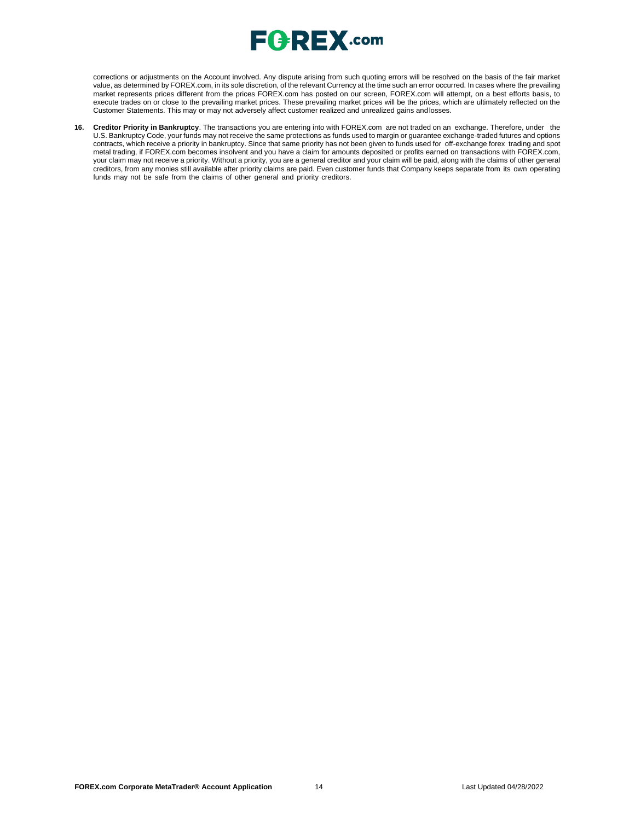

corrections or adjustments on the Account involved. Any dispute arising from such quoting errors will be resolved on the basis of the fair market value, as determined by FOREX.com, in its sole discretion, of the relevant Currency at the time such an error occurred. In cases where the prevailing market represents prices different from the prices FOREX.com has posted on our screen, FOREX.com will attempt, on a best efforts basis, to execute trades on or close to the prevailing market prices. These prevailing market prices will be the prices, which are ultimately reflected on the Customer Statements. This may or may not adversely affect customer realized and unrealized gains andlosses.

**16. Creditor Priority in Bankruptcy**. The transactions you are entering into with FOREX.com are not traded on an exchange. Therefore, under the U.S. Bankruptcy Code, your funds may not receive the same protections as funds used to margin or guarantee exchange-traded futures and options contracts, which receive a priority in bankruptcy. Since that same priority has not been given to funds used for off-exchange forex trading and spot metal trading, if FOREX.com becomes insolvent and you have a claim for amounts deposited or profits earned on transactions with FOREX.com, your claim may not receive a priority. Without a priority, you are a general creditor and your claim will be paid, along with the claims of other general creditors, from any monies still available after priority claims are paid. Even customer funds that Company keeps separate from its own operating funds may not be safe from the claims of other general and priority creditors.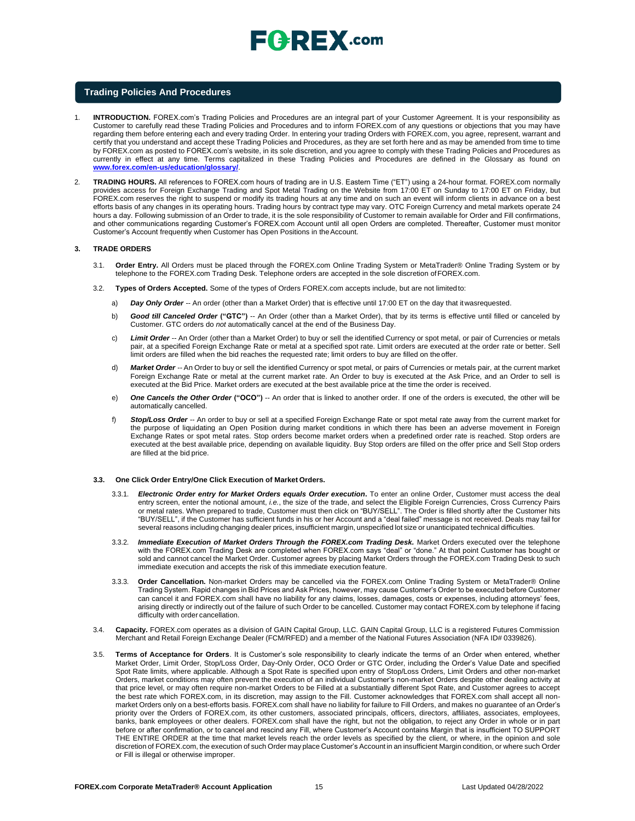### **Trading Policies And Procedures**

- 1. **INTRODUCTION.** FOREX.com's Trading Policies and Procedures are an integral part of your Customer Agreement. It is your responsibility as Customer to carefully read these Trading Policies and Procedures and to inform FOREX.com of any questions or objections that you may have regarding them before entering each and every trading Order. In entering your trading Orders with FOREX.com, you agree, represent, warrant and certify that you understand and accept these Trading Policies and Procedures, as they are set forth here and as may be amended from time to time by FOREX.com as posted to FOREX.com's website, in its sole discretion, and you agree to comply with these Trading Policies and Procedures as currently in effect at any time. Terms capitalized in these Trading Policies and Procedures are defined in the Glossary as found o[n](http://www.forex.com/en-us/education/glossary/) **[www.forex.com/en-us/education/glossary/](http://www.forex.com/en-us/education/glossary/)**.
- 2. **TRADING HOURS.** All references to FOREX.com hours of trading are in U.S. Eastern Time ("ET") using a 24-hour format. FOREX.com normally provides access for Foreign Exchange Trading and Spot Metal Trading on the Website from 17:00 ET on Sunday to 17:00 ET on Friday, but FOREX.com reserves the right to suspend or modify its trading hours at any time and on such an event will inform clients in advance on a best efforts basis of any changes in its operating hours. Trading hours by contract type may vary. OTC Foreign Currency and metal markets operate 24 hours a day. Following submission of an Order to trade, it is the sole responsibility of Customer to remain available for Order and Fill confirmations, and other communications regarding Customer's FOREX.com Account until all open Orders are completed. Thereafter, Customer must monitor Customer's Account frequently when Customer has Open Positions in theAccount.

#### **3. TRADE ORDERS**

- 3.1. **Order Entry.** All Orders must be placed through the FOREX.com Online Trading System or MetaTrader® Online Trading System or by telephone to the FOREX.com Trading Desk. Telephone orders are accepted in the sole discretion ofFOREX.com.
- 3.2. **Types of Orders Accepted.** Some of the types of Orders FOREX.com accepts include, but are not limited to:
	- a) *Day Only Order --* An order (other than a Market Order) that is effective until 17:00 ET on the day that itwasrequested.
	- b) *Good till Canceled Order* **("GTC")** -- An Order (other than a Market Order), that by its terms is effective until filled or canceled by Customer. GTC orders do *not* automatically cancel at the end of the Business Day.
	- c) *Limit Order --* An Order (other than a Market Order) to buy or sell the identified Currency or spot metal, or pair of Currencies or metals pair, at a specified Foreign Exchange Rate or metal at a specified spot rate. Limit orders are executed at the order rate or better. Sell limit orders are filled when the bid reaches the requested rate; limit orders to buy are filled on theoffer.
	- d) *Market Order --* An Order to buy or sell the identified Currency or spot metal, or pairs of Currencies or metals pair, at the current market Foreign Exchange Rate or metal at the current market rate. An Order to buy is executed at the Ask Price, and an Order to sell is executed at the Bid Price. Market orders are executed at the best available price at the time the order is received.
	- e) *One Cancels the Other Order* **("OCO")** -- An order that is linked to another order. If one of the orders is executed, the other will be automatically cancelled.
	- f) *Stop/Loss Order --* An order to buy or sell at a specified Foreign Exchange Rate or spot metal rate away from the current market for the purpose of liquidating an Open Position during market conditions in which there has been an adverse movement in Foreign Exchange Rates or spot metal rates. Stop orders become market orders when a predefined order rate is reached. Stop orders are executed at the best available price, depending on available liquidity. Buy Stop orders are filled on the offer price and Sell Stop orders are filled at the bid price.

#### **3.3. One Click Order Entry/One Click Execution of Market Orders.**

- 3.3.1. *Electronic Order entry for Market Orders equals Order execution***.** To enter an online Order, Customer must access the deal entry screen, enter the notional amount, *i.e.*, the size of the trade, and select the Eligible Foreign Currencies, Cross Currency Pairs or metal rates. When prepared to trade, Customer must then click on "BUY/SELL". The Order is filled shortly after the Customer hits "BUY/SELL", if the Customer has sufficient funds in his or her Account and a "deal failed" message is not received. Deals may fail for several reasons including changing dealer prices, insufficient margin, unspecified lot size or unanticipated technical difficulties.
- 3.3.2. *Immediate Execution of Market Orders Through the FOREX.com Trading Desk.* Market Orders executed over the telephone with the FOREX.com Trading Desk are completed when FOREX.com says "deal" or "done." At that point Customer has bought or sold and cannot cancel the Market Order. Customer agrees by placing Market Orders through the FOREX.com Trading Desk to such immediate execution and accepts the risk of this immediate execution feature.
- 3.3.3. **Order Cancellation.** Non-market Orders may be cancelled via the FOREX.com Online Trading System or MetaTrader® Online Trading System. Rapid changes in Bid Prices and Ask Prices, however, may cause Customer's Order to be executed before Customer can cancel it and FOREX.com shall have no liability for any claims, losses, damages, costs or expenses, including attorneys' fees, arising directly or indirectly out of the failure of such Order to be cancelled. Customer may contact FOREX.com by telephone if facing difficulty with order cancellation.
- 3.4. **Capacity.** FOREX.com operates as a division of GAIN Capital Group, LLC. GAIN Capital Group, LLC is a registered Futures Commission Merchant and Retail Foreign Exchange Dealer (FCM/RFED) and a member of the National Futures Association (NFA ID# 0339826).
- 3.5. **Terms of Acceptance for Orders**. It is Customer's sole responsibility to clearly indicate the terms of an Order when entered, whether Market Order, Limit Order, Stop/Loss Order, Day-Only Order, OCO Order or GTC Order, including the Order's Value Date and specified Spot Rate limits, where applicable. Although a Spot Rate is specified upon entry of Stop/Loss Orders, Limit Orders and other non-market Orders, market conditions may often prevent the execution of an individual Customer's non-market Orders despite other dealing activity at that price level, or may often require non-market Orders to be Filled at a substantially different Spot Rate, and Customer agrees to accept the best rate which FOREX.com, in its discretion, may assign to the Fill. Customer acknowledges that FOREX.com shall accept all nonmarket Orders only on a best-efforts basis. FOREX.com shall have no liability for failure to Fill Orders, and makes no guarantee of an Order's priority over the Orders of FOREX.com, its other customers, associated principals, officers, directors, affiliates, associates, employees, banks, bank employees or other dealers. FOREX.com shall have the right, but not the obligation, to reject any Order in whole or in part before or after confirmation, or to cancel and rescind any Fill, where Customer's Account contains Margin that is insufficient TO SUPPORT THE ENTIRE ORDER at the time that market levels reach the order levels as specified by the client, or where, in the opinion and sole discretion of FOREX.com, the execution of such Order may place Customer's Account in an insufficient Margin condition, or where such Order or Fill is illegal or otherwise improper.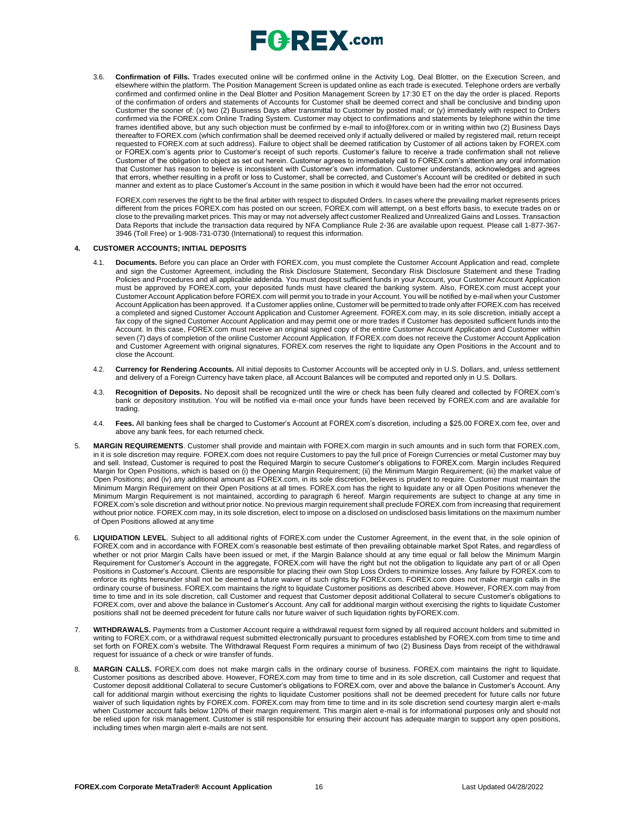

3.6. **Confirmation of Fills.** Trades executed online will be confirmed online in the Activity Log, Deal Blotter, on the Execution Screen, and elsewhere within the platform. The Position Management Screen is updated online as each trade is executed. Telephone orders are verbally confirmed and confirmed online in the Deal Blotter and Position Management Screen by 17:30 ET on the day the order is placed. Reports of the confirmation of orders and statements of Accounts for Customer shall be deemed correct and shall be conclusive and binding upon Customer the sooner of: (x) two (2) Business Days after transmittal to Customer by posted mail; or (y) immediately with respect to Orders confirmed via the FOREX.com Online Trading System. Customer may object to confirmations and statements by telephone within the time frames identified above, but any such objection must be confirmed by e-mail t[o info@forex.com o](mailto:info@forex.com)r in writing within two (2) Business Days thereafter to FOREX.com (which confirmation shall be deemed received only if actually delivered or mailed by registered mail, return receipt requested to FOREX.com at such address). Failure to object shall be deemed ratification by Customer of all actions taken by FOREX.com or FOREX.com's agents prior to Customer's receipt of such reports. Customer's failure to receive a trade confirmation shall not relieve Customer of the obligation to object as set out herein. Customer agrees to immediately call to FOREX.com's attention any oral information that Customer has reason to believe is inconsistent with Customer's own information. Customer understands, acknowledges and agrees that errors, whether resulting in a profit or loss to Customer, shall be corrected, and Customer's Account will be credited or debited in such manner and extent as to place Customer's Account in the same position in which it would have been had the error not occurred.

FOREX.com reserves the right to be the final arbiter with respect to disputed Orders. In cases where the prevailing market represents prices different from the prices FOREX.com has posted on our screen, FOREX.com will attempt, on a best efforts basis, to execute trades on or close to the prevailing market prices. This may or may not adversely affect customer Realized and Unrealized Gains and Losses. Transaction Data Reports that include the transaction data required by NFA Compliance Rule 2-36 are available upon request. Please call 1-877-367- 3946 (Toll Free) or 1-908-731-0730 (International) to request this information.

#### **4. CUSTOMER ACCOUNTS; INITIAL DEPOSITS**

- 4.1. **Documents.** Before you can place an Order with FOREX.com, you must complete the Customer Account Application and read, complete and sign the Customer Agreement, including the Risk Disclosure Statement, Secondary Risk Disclosure Statement and these Trading Policies and Procedures and all applicable addenda. You must deposit sufficient funds in your Account, your Customer Account Application must be approved by FOREX.com, your deposited funds must have cleared the banking system. Also, FOREX.com must accept your Customer Account Application before FOREX.com will permit you to trade in your Account. You will be notified by e-mail when your Customer Account Application has been approved. If a Customer applies online, Customer will be permitted to trade only after FOREX.com has received a completed and signed Customer Account Application and Customer Agreement. FOREX.com may, in its sole discretion, initially accept a fax copy of the signed Customer Account Application and may permit one or more trades if Customer has deposited sufficient funds into the Account. In this case, FOREX.com must receive an original signed copy of the entire Customer Account Application and Customer within seven (7) days of completion of the online Customer Account Application. If FOREX.com does not receive the Customer Account Application and Customer Agreement with original signatures, FOREX.com reserves the right to liquidate any Open Positions in the Account and to close the Account.
- 4.2. **Currency for Rendering Accounts.** All initial deposits to Customer Accounts will be accepted only in U.S. Dollars, and, unless settlement and delivery of a Foreign Currency have taken place, all Account Balances will be computed and reported only in U.S. Dollars.
- 4.3. **Recognition of Deposits.** No deposit shall be recognized until the wire or check has been fully cleared and collected by FOREX.com's bank or depository institution. You will be notified via e-mail once your funds have been received by FOREX.com and are available for trading.
- 4.4. **Fees.** All banking fees shall be charged to Customer's Account at FOREX.com's discretion, including a \$25.00 FOREX.com fee, over and above any bank fees, for each returned check.
- 5. **MARGIN REQUIREMENTS**. Customer shall provide and maintain with FOREX.com margin in such amounts and in such form that FOREX.com, in it is sole discretion may require. FOREX.com does not require Customers to pay the full price of Foreign Currencies or metal Customer may buy and sell. Instead, Customer is required to post the Required Margin to secure Customer's obligations to FOREX.com. Margin includes Required Margin for Open Positions, which is based on (i) the Opening Margin Requirement; (ii) the Minimum Margin Requirement; (iii) the market value of Open Positions; and (iv) any additional amount as FOREX.com, in its sole discretion, believes is prudent to require. Customer must maintain the Minimum Margin Requirement on their Open Positions at all times. FOREX.com has the right to liquidate any or all Open Positions whenever the Minimum Margin Requirement is not maintained, according to paragraph 6 hereof. Margin requirements are subject to change at any time in FOREX.com's sole discretion and without prior notice. No previous margin requirement shall preclude FOREX.com from increasing that requirement without prior notice. FOREX.com may, in its sole discretion, elect to impose on a disclosed on undisclosed basis limitations on the maximum number of Open Positions allowed at any time
- 6. **LIQUIDATION LEVEL**. Subject to all additional rights of FOREX.com under the Customer Agreement, in the event that, in the sole opinion of FOREX.com and in accordance with FOREX.com's reasonable best estimate of then prevailing obtainable market Spot Rates, and regardless of whether or not prior Margin Calls have been issued or met, if the Margin Balance should at any time equal or fall below the Minimum Margin Requirement for Customer's Account in the aggregate, FOREX.com will have the right but not the obligation to liquidate any part of or all Open Positions in Customer's Account. Clients are responsible for placing their own Stop Loss Orders to minimize losses. Any failure by FOREX.com to enforce its rights hereunder shall not be deemed a future waiver of such rights by FOREX.com. FOREX.com does not make margin calls in the ordinary course of business. FOREX.com maintains the right to liquidate Customer positions as described above. However, FOREX.com may from time to time and in its sole discretion, call Customer and request that Customer deposit additional Collateral to secure Customer's obligations to FOREX.com, over and above the balance in Customer's Account. Any call for additional margin without exercising the rights to liquidate Customer positions shall not be deemed precedent for future calls nor future waiver of such liquidation rights byFOREX.com.
- WITHDRAWALS. Payments from a Customer Account require a withdrawal request form signed by all required account holders and submitted in writing to FOREX.com, or a withdrawal request submitted electronically pursuant to procedures established by FOREX.com from time to time and set forth on FOREX.com's website. The Withdrawal Request Form requires a minimum of two (2) Business Days from receipt of the withdrawal request for issuance of a check or wire transfer of funds.
- 8. **MARGIN CALLS.** FOREX.com does not make margin calls in the ordinary course of business. FOREX.com maintains the right to liquidate. Customer positions as described above. However, FOREX.com may from time to time and in its sole discretion, call Customer and request that Customer deposit additional Collateral to secure Customer's obligations to FOREX.com, over and above the balance in Customer's Account. Any call for additional margin without exercising the rights to liquidate Customer positions shall not be deemed precedent for future calls nor future waiver of such liquidation rights by FOREX.com. FOREX.com may from time to time and in its sole discretion send courtesy margin alert e-mails when Customer account falls below 120% of their margin requirement. This margin alert e-mail is for informational purposes only and should not be relied upon for risk management. Customer is still responsible for ensuring their account has adequate margin to support any open positions, including times when margin alert e-mails are not sent.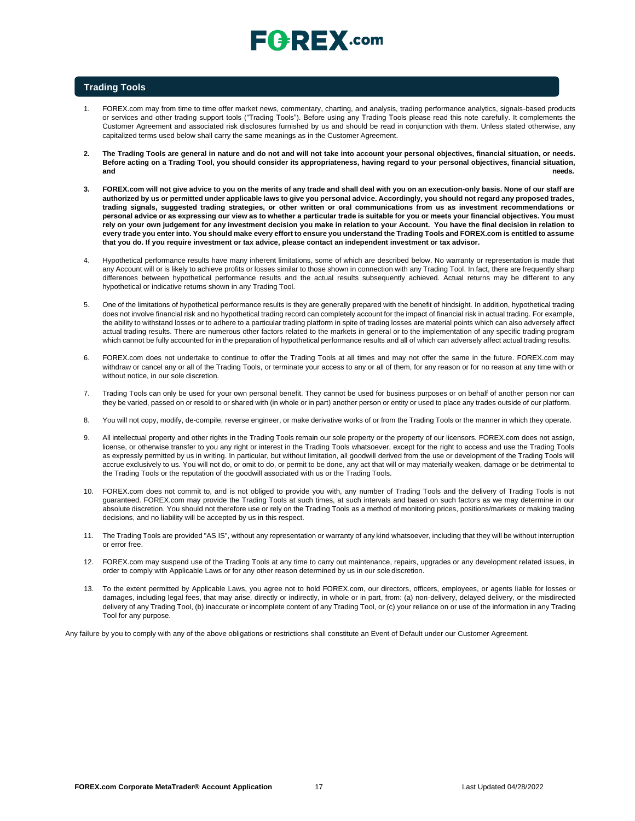# $\sqsubseteq$   $\sqsubseteq$   $\sqsubseteq$   $\sqtimes$  .com

## **Trading Tools**

- 1. FOREX.com may from time to time offer market news, commentary, charting, and analysis, trading performance analytics, signals-based products or services and other trading support tools ("Trading Tools"). Before using any Trading Tools please read this note carefully. It complements the Customer Agreement and associated risk disclosures furnished by us and should be read in conjunction with them. Unless stated otherwise, any capitalized terms used below shall carry the same meanings as in the Customer Agreement.
- **2. The Trading Tools are general in nature and do not and will not take into account your personal objectives, financial situation, or needs. Before acting on a Trading Tool, you should consider its appropriateness, having regard to your personal objectives, financial situation, and needs.**
- **3. FOREX.com will not give advice to you on the merits of any trade and shall deal with you on an execution-only basis. None of our staff are authorized by us or permitted under applicable laws to give you personal advice. Accordingly, you should not regard any proposed trades, trading signals, suggested trading strategies, or other written or oral communications from us as investment recommendations or personal advice or as expressing our view as to whether a particular trade is suitable for you or meets your financial objectives. You must** rely on your own judgement for any investment decision you make in relation to your Account. You have the final decision in relation to **every trade you enter into. You should make every effort to ensure you understand the Trading Tools and FOREX.com is entitled to assume that you do. If you require investment or tax advice, please contact an independent investment or tax advisor.**
- 4. Hypothetical performance results have many inherent limitations, some of which are described below. No warranty or representation is made that any Account will or is likely to achieve profits or losses similar to those shown in connection with any Trading Tool. In fact, there are frequently sharp differences between hypothetical performance results and the actual results subsequently achieved. Actual returns may be different to any hypothetical or indicative returns shown in any Trading Tool.
- 5. One of the limitations of hypothetical performance results is they are generally prepared with the benefit of hindsight. In addition, hypothetical trading does not involve financial risk and no hypothetical trading record can completely account for the impact of financial risk in actual trading. For example, the ability to withstand losses or to adhere to a particular trading platform in spite of trading losses are material points which can also adversely affect actual trading results. There are numerous other factors related to the markets in general or to the implementation of any specific trading program which cannot be fully accounted for in the preparation of hypothetical performance results and all of which can adversely affect actual trading results.
- 6. FOREX.com does not undertake to continue to offer the Trading Tools at all times and may not offer the same in the future. FOREX.com may withdraw or cancel any or all of the Trading Tools, or terminate your access to any or all of them, for any reason or for no reason at any time with or without notice, in our sole discretion.
- 7. Trading Tools can only be used for your own personal benefit. They cannot be used for business purposes or on behalf of another person nor can they be varied, passed on or resold to or shared with (in whole or in part) another person or entity or used to place any trades outside of our platform.
- 8. You will not copy, modify, de-compile, reverse engineer, or make derivative works of or from the Trading Tools or the manner in which they operate.
- 9. All intellectual property and other rights in the Trading Tools remain our sole property or the property of our licensors. FOREX.com does not assign, license, or otherwise transfer to you any right or interest in the Trading Tools whatsoever, except for the right to access and use the Trading Tools as expressly permitted by us in writing. In particular, but without limitation, all goodwill derived from the use or development of the Trading Tools will accrue exclusively to us. You will not do, or omit to do, or permit to be done, any act that will or may materially weaken, damage or be detrimental to the Trading Tools or the reputation of the goodwill associated with us or the Trading Tools.
- 10. FOREX.com does not commit to, and is not obliged to provide you with, any number of Trading Tools and the delivery of Trading Tools is not guaranteed. FOREX.com may provide the Trading Tools at such times, at such intervals and based on such factors as we may determine in our absolute discretion. You should not therefore use or rely on the Trading Tools as a method of monitoring prices, positions/markets or making trading decisions, and no liability will be accepted by us in this respect.
- 11. The Trading Tools are provided "AS IS", without any representation or warranty of any kind whatsoever, including that they will be without interruption or error free.
- 12. FOREX.com may suspend use of the Trading Tools at any time to carry out maintenance, repairs, upgrades or any development related issues, in order to comply with Applicable Laws or for any other reason determined by us in our sole discretion.
- 13. To the extent permitted by Applicable Laws, you agree not to hold FOREX.com, our directors, officers, employees, or agents liable for losses or damages, including legal fees, that may arise, directly or indirectly, in whole or in part, from: (a) non-delivery, delayed delivery, or the misdirected delivery of any Trading Tool, (b) inaccurate or incomplete content of any Trading Tool, or (c) your reliance on or use of the information in any Trading Tool for any purpose.

Any failure by you to comply with any of the above obligations or restrictions shall constitute an Event of Default under our Customer Agreement.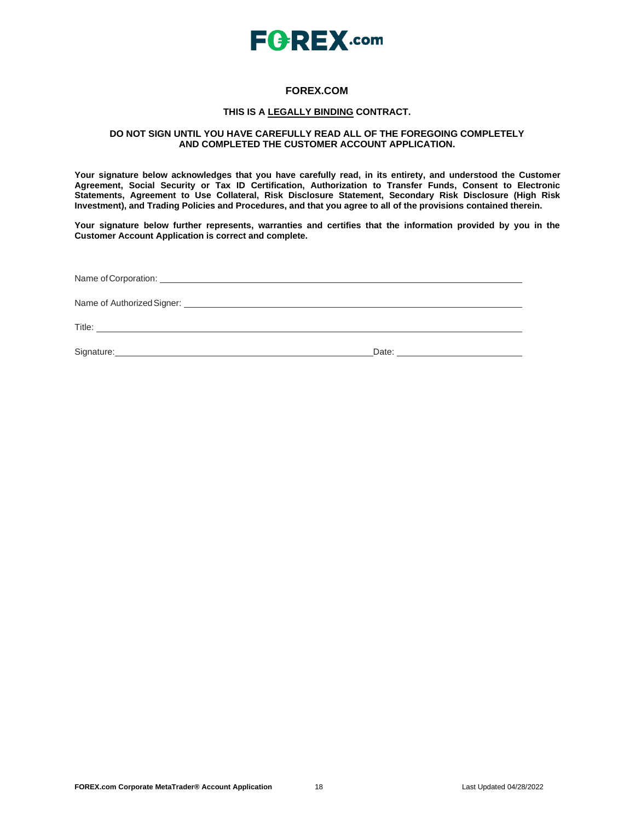

## **FOREX.COM**

## **THIS IS A LEGALLY BINDING CONTRACT.**

### **DO NOT SIGN UNTIL YOU HAVE CAREFULLY READ ALL OF THE FOREGOING COMPLETELY AND COMPLETED THE CUSTOMER ACCOUNT APPLICATION.**

**Your signature below acknowledges that you have carefully read, in its entirety, and understood the Customer Agreement, Social Security or Tax ID Certification, Authorization to Transfer Funds, Consent to Electronic Statements, Agreement to Use Collateral, Risk Disclosure Statement, Secondary Risk Disclosure (High Risk Investment), and Trading Policies and Procedures, and that you agree to all of the provisions contained therein.**

**Your signature below further represents, warranties and certifies that the information provided by you in the Customer Account Application is correct and complete.**

| Title:<br><u> 1989 - Andrea Barbara, politikar esperantor estatubatuar estatubatuar estatubatuar estatubatuar estatubatuar</u> |       |
|--------------------------------------------------------------------------------------------------------------------------------|-------|
| Signature: Management Contract of the Signature:                                                                               | Date: |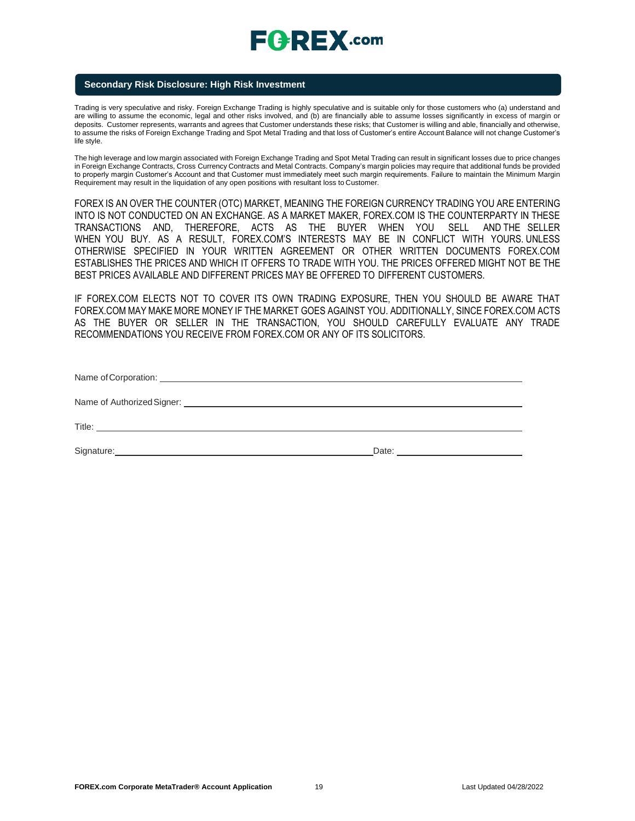# $E$ **CREX**.com

## **Secondary Risk Disclosure: High Risk Investment**

Trading is very speculative and risky. Foreign Exchange Trading is highly speculative and is suitable only for those customers who (a) understand and are willing to assume the economic, legal and other risks involved, and (b) are financially able to assume losses significantly in excess of margin or deposits. Customer represents, warrants and agrees that Customer understands these risks; that Customer is willing and able, financially and otherwise, to assume the risks of Foreign Exchange Trading and Spot Metal Trading and that loss of Customer's entire Account Balance will not change Customer's life style.

The high leverage and low margin associated with Foreign Exchange Trading and Spot Metal Trading can result in significant losses due to price changes in Foreign Exchange Contracts, Cross Currency Contracts and Metal Contracts. Company's margin policies may require that additional funds be provided to properly margin Customer's Account and that Customer must immediately meet such margin requirements. Failure to maintain the Minimum Margin Requirement may result in the liquidation of any open positions with resultant loss to Customer.

FOREX IS AN OVER THE COUNTER (OTC) MARKET, MEANING THE FOREIGN CURRENCY TRADING YOU ARE ENTERING INTO IS NOT CONDUCTED ON AN EXCHANGE. AS A MARKET MAKER, FOREX.COM IS THE COUNTERPARTY IN THESE TRANSACTIONS AND, THEREFORE, ACTS AS THE BUYER WHEN YOU SELL AND THE SELLER WHEN YOU BUY. AS A RESULT, FOREX.COM'S INTERESTS MAY BE IN CONFLICT WITH YOURS. UNLESS OTHERWISE SPECIFIED IN YOUR WRITTEN AGREEMENT OR OTHER WRITTEN DOCUMENTS FOREX.COM ESTABLISHES THE PRICES AND WHICH IT OFFERS TO TRADE WITH YOU. THE PRICES OFFERED MIGHT NOT BE THE BEST PRICES AVAILABLE AND DIFFERENT PRICES MAY BE OFFERED TO DIFFERENT CUSTOMERS.

IF FOREX.COM ELECTS NOT TO COVER ITS OWN TRADING EXPOSURE, THEN YOU SHOULD BE AWARE THAT FOREX.COM MAY MAKE MORE MONEY IF THE MARKET GOES AGAINST YOU. ADDITIONALLY, SINCE FOREX.COM ACTS AS THE BUYER OR SELLER IN THE TRANSACTION, YOU SHOULD CAREFULLY EVALUATE ANY TRADE RECOMMENDATIONS YOU RECEIVE FROM FOREX.COM OR ANY OF ITS SOLICITORS.

| Name of Authorized Signer: Name of Authorized Signer: |       |
|-------------------------------------------------------|-------|
|                                                       |       |
|                                                       | Date: |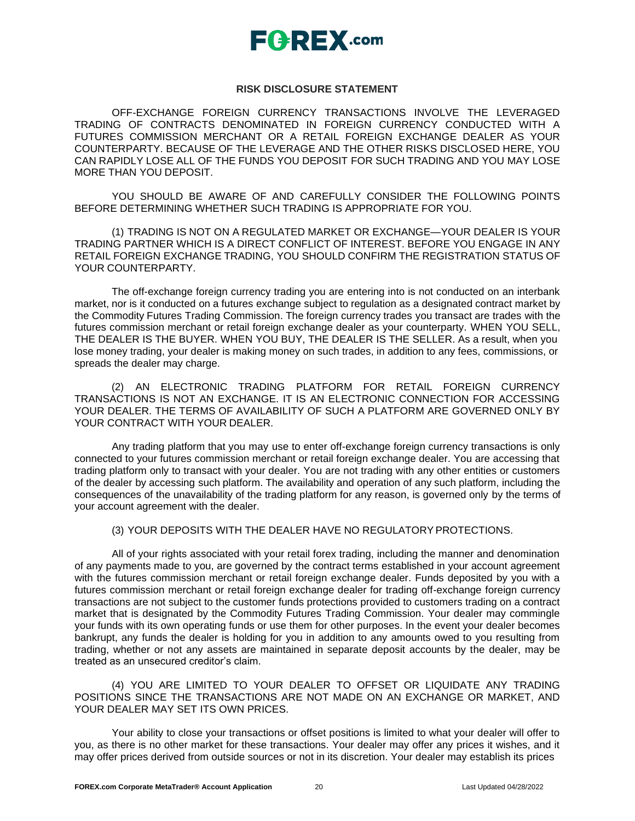

## **RISK DISCLOSURE STATEMENT**

OFF-EXCHANGE FOREIGN CURRENCY TRANSACTIONS INVOLVE THE LEVERAGED TRADING OF CONTRACTS DENOMINATED IN FOREIGN CURRENCY CONDUCTED WITH A FUTURES COMMISSION MERCHANT OR A RETAIL FOREIGN EXCHANGE DEALER AS YOUR COUNTERPARTY. BECAUSE OF THE LEVERAGE AND THE OTHER RISKS DISCLOSED HERE, YOU CAN RAPIDLY LOSE ALL OF THE FUNDS YOU DEPOSIT FOR SUCH TRADING AND YOU MAY LOSE MORE THAN YOU DEPOSIT.

YOU SHOULD BE AWARE OF AND CAREFULLY CONSIDER THE FOLLOWING POINTS BEFORE DETERMINING WHETHER SUCH TRADING IS APPROPRIATE FOR YOU.

(1) TRADING IS NOT ON A REGULATED MARKET OR EXCHANGE—YOUR DEALER IS YOUR TRADING PARTNER WHICH IS A DIRECT CONFLICT OF INTEREST. BEFORE YOU ENGAGE IN ANY RETAIL FOREIGN EXCHANGE TRADING, YOU SHOULD CONFIRM THE REGISTRATION STATUS OF YOUR COUNTERPARTY.

The off-exchange foreign currency trading you are entering into is not conducted on an interbank market, nor is it conducted on a futures exchange subject to regulation as a designated contract market by the Commodity Futures Trading Commission. The foreign currency trades you transact are trades with the futures commission merchant or retail foreign exchange dealer as your counterparty. WHEN YOU SELL, THE DEALER IS THE BUYER. WHEN YOU BUY, THE DEALER IS THE SELLER. As a result, when you lose money trading, your dealer is making money on such trades, in addition to any fees, commissions, or spreads the dealer may charge.

(2) AN ELECTRONIC TRADING PLATFORM FOR RETAIL FOREIGN CURRENCY TRANSACTIONS IS NOT AN EXCHANGE. IT IS AN ELECTRONIC CONNECTION FOR ACCESSING YOUR DEALER. THE TERMS OF AVAILABILITY OF SUCH A PLATFORM ARE GOVERNED ONLY BY YOUR CONTRACT WITH YOUR DEALER.

Any trading platform that you may use to enter off-exchange foreign currency transactions is only connected to your futures commission merchant or retail foreign exchange dealer. You are accessing that trading platform only to transact with your dealer. You are not trading with any other entities or customers of the dealer by accessing such platform. The availability and operation of any such platform, including the consequences of the unavailability of the trading platform for any reason, is governed only by the terms of your account agreement with the dealer.

## (3) YOUR DEPOSITS WITH THE DEALER HAVE NO REGULATORYPROTECTIONS.

All of your rights associated with your retail forex trading, including the manner and denomination of any payments made to you, are governed by the contract terms established in your account agreement with the futures commission merchant or retail foreign exchange dealer. Funds deposited by you with a futures commission merchant or retail foreign exchange dealer for trading off-exchange foreign currency transactions are not subject to the customer funds protections provided to customers trading on a contract market that is designated by the Commodity Futures Trading Commission. Your dealer may commingle your funds with its own operating funds or use them for other purposes. In the event your dealer becomes bankrupt, any funds the dealer is holding for you in addition to any amounts owed to you resulting from trading, whether or not any assets are maintained in separate deposit accounts by the dealer, may be treated as an unsecured creditor's claim.

(4) YOU ARE LIMITED TO YOUR DEALER TO OFFSET OR LIQUIDATE ANY TRADING POSITIONS SINCE THE TRANSACTIONS ARE NOT MADE ON AN EXCHANGE OR MARKET, AND YOUR DEALER MAY SET ITS OWN PRICES.

Your ability to close your transactions or offset positions is limited to what your dealer will offer to you, as there is no other market for these transactions. Your dealer may offer any prices it wishes, and it may offer prices derived from outside sources or not in its discretion. Your dealer may establish its prices